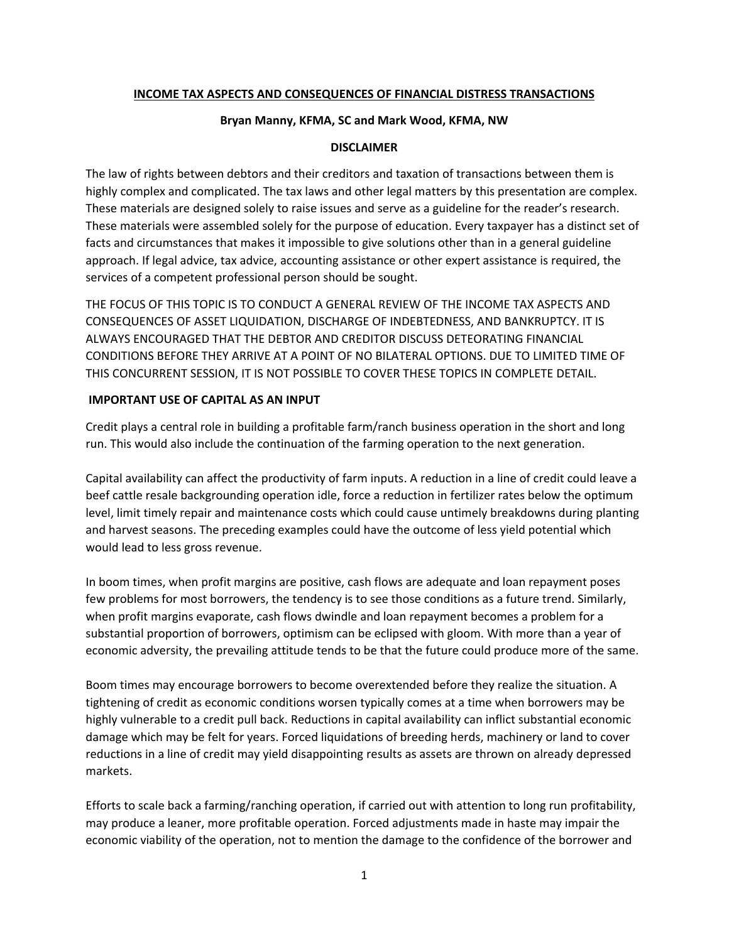## **INCOME TAX ASPECTS AND CONSEQUENCES OF FINANCIAL DISTRESS TRANSACTIONS**

#### **Bryan Manny, KFMA, SC and Mark Wood, KFMA, NW**

#### **DISCLAIMER**

The law of rights between debtors and their creditors and taxation of transactions between them is highly complex and complicated. The tax laws and other legal matters by this presentation are complex. These materials are designed solely to raise issues and serve as a guideline for the reader's research. These materials were assembled solely for the purpose of education. Every taxpayer has a distinct set of facts and circumstances that makes it impossible to give solutions other than in a general guideline approach. If legal advice, tax advice, accounting assistance or other expert assistance is required, the services of a competent professional person should be sought.

THE FOCUS OF THIS TOPIC IS TO CONDUCT A GENERAL REVIEW OF THE INCOME TAX ASPECTS AND CONSEQUENCES OF ASSET LIQUIDATION, DISCHARGE OF INDEBTEDNESS, AND BANKRUPTCY. IT IS ALWAYS ENCOURAGED THAT THE DEBTOR AND CREDITOR DISCUSS DETEORATING FINANCIAL CONDITIONS BEFORE THEY ARRIVE AT A POINT OF NO BILATERAL OPTIONS. DUE TO LIMITED TIME OF THIS CONCURRENT SESSION, IT IS NOT POSSIBLE TO COVER THESE TOPICS IN COMPLETE DETAIL.

#### **IMPORTANT USE OF CAPITAL AS AN INPUT**

Credit plays a central role in building a profitable farm/ranch business operation in the short and long run. This would also include the continuation of the farming operation to the next generation.

Capital availability can affect the productivity of farm inputs. A reduction in a line of credit could leave a beef cattle resale backgrounding operation idle, force a reduction in fertilizer rates below the optimum level, limit timely repair and maintenance costs which could cause untimely breakdowns during planting and harvest seasons. The preceding examples could have the outcome of less yield potential which would lead to less gross revenue.

In boom times, when profit margins are positive, cash flows are adequate and loan repayment poses few problems for most borrowers, the tendency is to see those conditions as a future trend. Similarly, when profit margins evaporate, cash flows dwindle and loan repayment becomes a problem for a substantial proportion of borrowers, optimism can be eclipsed with gloom. With more than a year of economic adversity, the prevailing attitude tends to be that the future could produce more of the same.

Boom times may encourage borrowers to become overextended before they realize the situation. A tightening of credit as economic conditions worsen typically comes at a time when borrowers may be highly vulnerable to a credit pull back. Reductions in capital availability can inflict substantial economic damage which may be felt for years. Forced liquidations of breeding herds, machinery or land to cover reductions in a line of credit may yield disappointing results as assets are thrown on already depressed markets.

Efforts to scale back a farming/ranching operation, if carried out with attention to long run profitability, may produce a leaner, more profitable operation. Forced adjustments made in haste may impair the economic viability of the operation, not to mention the damage to the confidence of the borrower and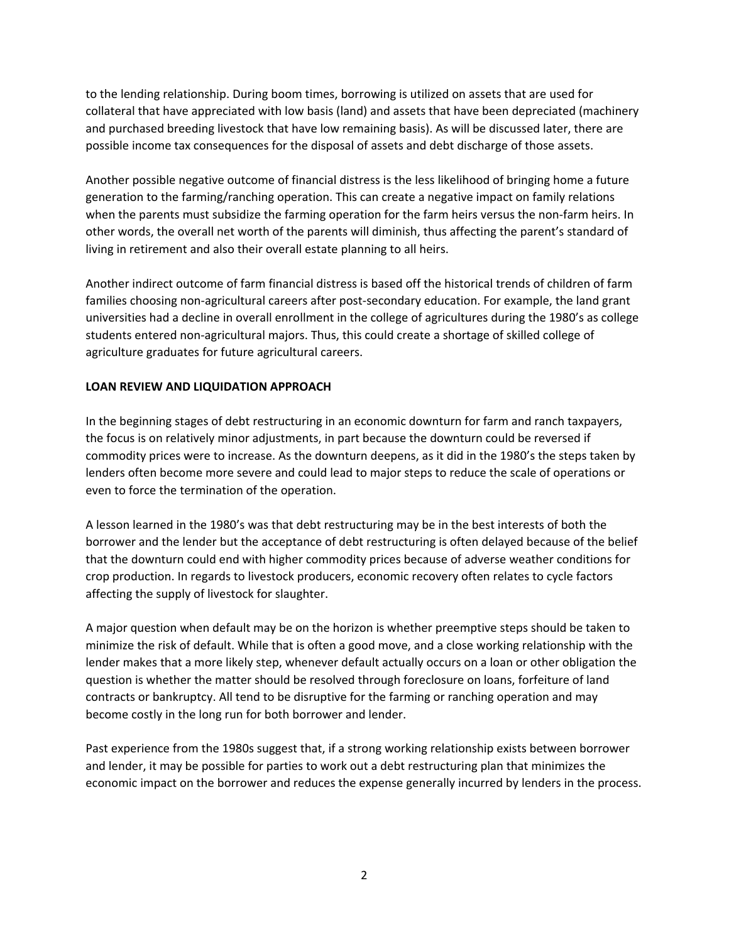to the lending relationship. During boom times, borrowing is utilized on assets that are used for collateral that have appreciated with low basis (land) and assets that have been depreciated (machinery and purchased breeding livestock that have low remaining basis). As will be discussed later, there are possible income tax consequences for the disposal of assets and debt discharge of those assets.

Another possible negative outcome of financial distress is the less likelihood of bringing home a future generation to the farming/ranching operation. This can create a negative impact on family relations when the parents must subsidize the farming operation for the farm heirs versus the non-farm heirs. In other words, the overall net worth of the parents will diminish, thus affecting the parent's standard of living in retirement and also their overall estate planning to all heirs.

Another indirect outcome of farm financial distress is based off the historical trends of children of farm families choosing non-agricultural careers after post-secondary education. For example, the land grant universities had a decline in overall enrollment in the college of agricultures during the 1980's as college students entered non‐agricultural majors. Thus, this could create a shortage of skilled college of agriculture graduates for future agricultural careers.

# **LOAN REVIEW AND LIQUIDATION APPROACH**

In the beginning stages of debt restructuring in an economic downturn for farm and ranch taxpayers, the focus is on relatively minor adjustments, in part because the downturn could be reversed if commodity prices were to increase. As the downturn deepens, as it did in the 1980's the steps taken by lenders often become more severe and could lead to major steps to reduce the scale of operations or even to force the termination of the operation.

A lesson learned in the 1980's was that debt restructuring may be in the best interests of both the borrower and the lender but the acceptance of debt restructuring is often delayed because of the belief that the downturn could end with higher commodity prices because of adverse weather conditions for crop production. In regards to livestock producers, economic recovery often relates to cycle factors affecting the supply of livestock for slaughter.

A major question when default may be on the horizon is whether preemptive steps should be taken to minimize the risk of default. While that is often a good move, and a close working relationship with the lender makes that a more likely step, whenever default actually occurs on a loan or other obligation the question is whether the matter should be resolved through foreclosure on loans, forfeiture of land contracts or bankruptcy. All tend to be disruptive for the farming or ranching operation and may become costly in the long run for both borrower and lender.

Past experience from the 1980s suggest that, if a strong working relationship exists between borrower and lender, it may be possible for parties to work out a debt restructuring plan that minimizes the economic impact on the borrower and reduces the expense generally incurred by lenders in the process.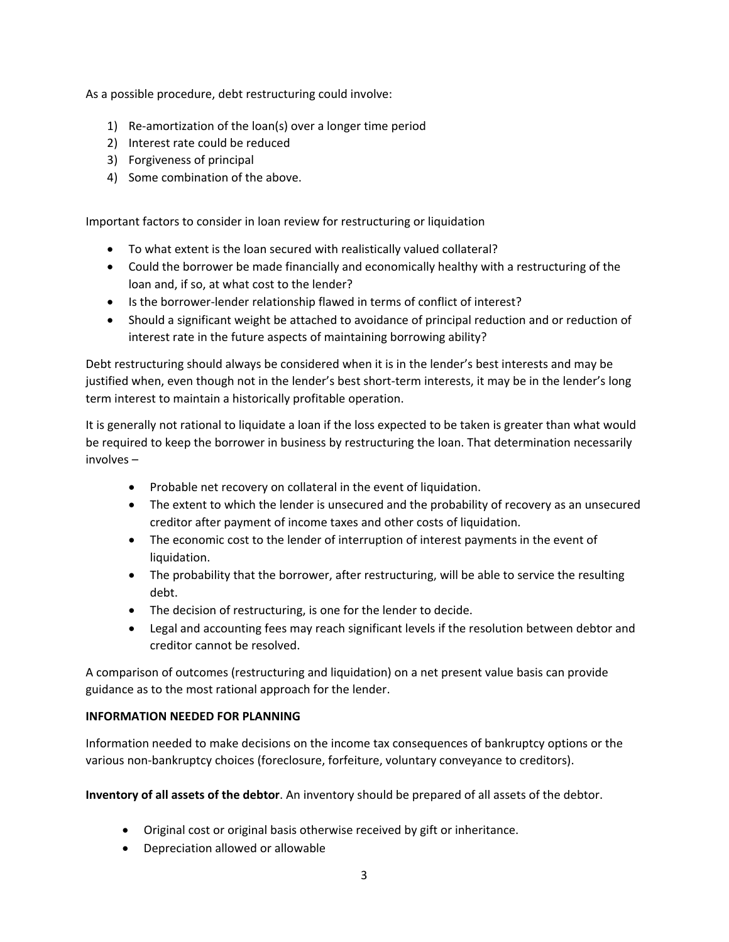As a possible procedure, debt restructuring could involve:

- 1) Re‐amortization of the loan(s) over a longer time period
- 2) Interest rate could be reduced
- 3) Forgiveness of principal
- 4) Some combination of the above.

Important factors to consider in loan review for restructuring or liquidation

- To what extent is the loan secured with realistically valued collateral?
- Could the borrower be made financially and economically healthy with a restructuring of the loan and, if so, at what cost to the lender?
- Is the borrower-lender relationship flawed in terms of conflict of interest?
- Should a significant weight be attached to avoidance of principal reduction and or reduction of interest rate in the future aspects of maintaining borrowing ability?

Debt restructuring should always be considered when it is in the lender's best interests and may be justified when, even though not in the lender's best short-term interests, it may be in the lender's long term interest to maintain a historically profitable operation.

It is generally not rational to liquidate a loan if the loss expected to be taken is greater than what would be required to keep the borrower in business by restructuring the loan. That determination necessarily involves –

- Probable net recovery on collateral in the event of liquidation.
- The extent to which the lender is unsecured and the probability of recovery as an unsecured creditor after payment of income taxes and other costs of liquidation.
- The economic cost to the lender of interruption of interest payments in the event of liquidation.
- The probability that the borrower, after restructuring, will be able to service the resulting debt.
- The decision of restructuring, is one for the lender to decide.
- Legal and accounting fees may reach significant levels if the resolution between debtor and creditor cannot be resolved.

A comparison of outcomes (restructuring and liquidation) on a net present value basis can provide guidance as to the most rational approach for the lender.

## **INFORMATION NEEDED FOR PLANNING**

Information needed to make decisions on the income tax consequences of bankruptcy options or the various non-bankruptcy choices (foreclosure, forfeiture, voluntary conveyance to creditors).

**Inventory of all assets of the debtor**. An inventory should be prepared of all assets of the debtor.

- Original cost or original basis otherwise received by gift or inheritance.
- Depreciation allowed or allowable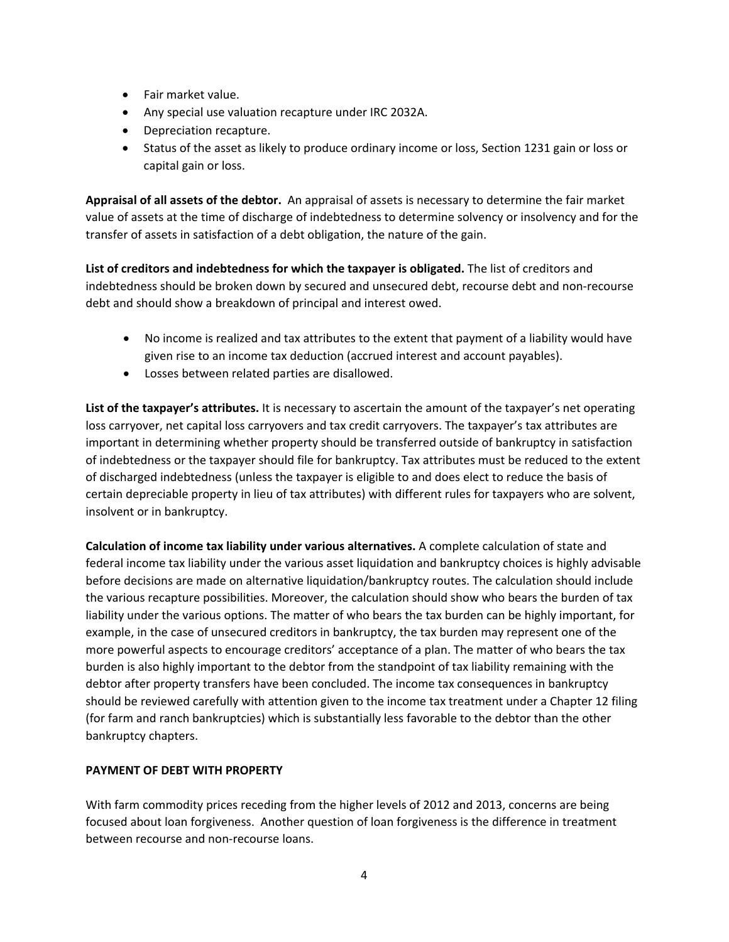- Fair market value.
- Any special use valuation recapture under IRC 2032A.
- Depreciation recapture.
- Status of the asset as likely to produce ordinary income or loss, Section 1231 gain or loss or capital gain or loss.

**Appraisal of all assets of the debtor.** An appraisal of assets is necessary to determine the fair market value of assets at the time of discharge of indebtedness to determine solvency or insolvency and for the transfer of assets in satisfaction of a debt obligation, the nature of the gain.

**List of creditors and indebtedness for which the taxpayer is obligated.** The list of creditors and indebtedness should be broken down by secured and unsecured debt, recourse debt and non‐recourse debt and should show a breakdown of principal and interest owed.

- No income is realized and tax attributes to the extent that payment of a liability would have given rise to an income tax deduction (accrued interest and account payables).
- Losses between related parties are disallowed.

**List of the taxpayer's attributes.** It is necessary to ascertain the amount of the taxpayer's net operating loss carryover, net capital loss carryovers and tax credit carryovers. The taxpayer's tax attributes are important in determining whether property should be transferred outside of bankruptcy in satisfaction of indebtedness or the taxpayer should file for bankruptcy. Tax attributes must be reduced to the extent of discharged indebtedness (unless the taxpayer is eligible to and does elect to reduce the basis of certain depreciable property in lieu of tax attributes) with different rules for taxpayers who are solvent, insolvent or in bankruptcy.

**Calculation of income tax liability under various alternatives.** A complete calculation of state and federal income tax liability under the various asset liquidation and bankruptcy choices is highly advisable before decisions are made on alternative liquidation/bankruptcy routes. The calculation should include the various recapture possibilities. Moreover, the calculation should show who bears the burden of tax liability under the various options. The matter of who bears the tax burden can be highly important, for example, in the case of unsecured creditors in bankruptcy, the tax burden may represent one of the more powerful aspects to encourage creditors' acceptance of a plan. The matter of who bears the tax burden is also highly important to the debtor from the standpoint of tax liability remaining with the debtor after property transfers have been concluded. The income tax consequences in bankruptcy should be reviewed carefully with attention given to the income tax treatment under a Chapter 12 filing (for farm and ranch bankruptcies) which is substantially less favorable to the debtor than the other bankruptcy chapters.

## **PAYMENT OF DEBT WITH PROPERTY**

With farm commodity prices receding from the higher levels of 2012 and 2013, concerns are being focused about loan forgiveness. Another question of loan forgiveness is the difference in treatment between recourse and non‐recourse loans.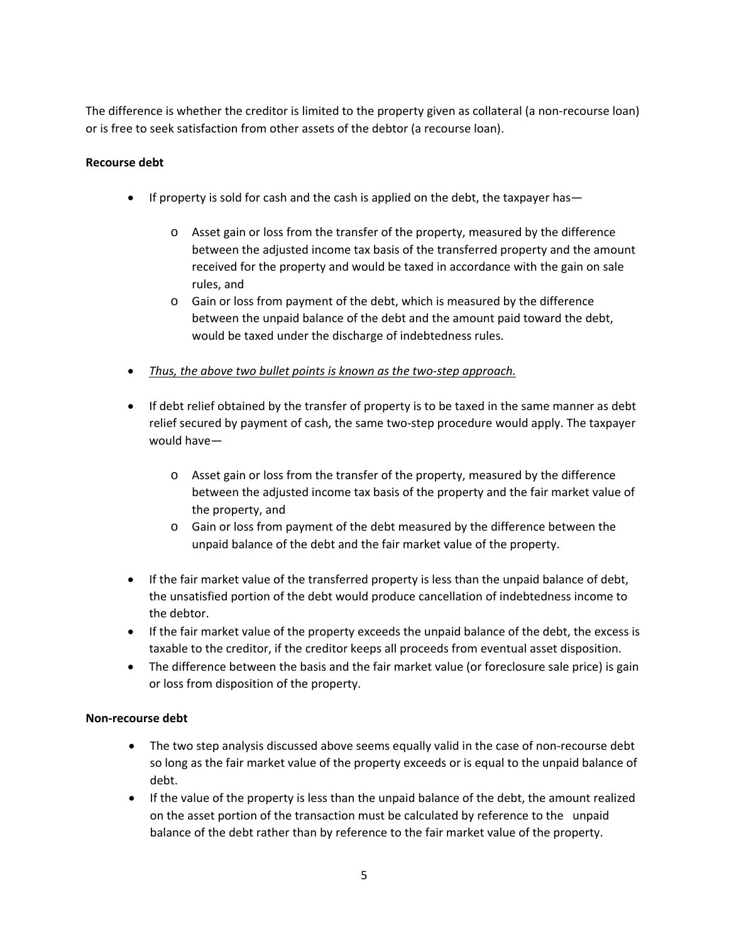The difference is whether the creditor is limited to the property given as collateral (a non-recourse loan) or is free to seek satisfaction from other assets of the debtor (a recourse loan).

## **Recourse debt**

- If property is sold for cash and the cash is applied on the debt, the taxpayer has
	- o Asset gain or loss from the transfer of the property, measured by the difference between the adjusted income tax basis of the transferred property and the amount received for the property and would be taxed in accordance with the gain on sale rules, and
	- o Gain or loss from payment of the debt, which is measured by the difference between the unpaid balance of the debt and the amount paid toward the debt, would be taxed under the discharge of indebtedness rules.
- *Thus, the above two bullet points is known as the two‐step approach.*
- If debt relief obtained by the transfer of property is to be taxed in the same manner as debt relief secured by payment of cash, the same two-step procedure would apply. The taxpayer would have
	- o Asset gain or loss from the transfer of the property, measured by the difference between the adjusted income tax basis of the property and the fair market value of the property, and
	- o Gain or loss from payment of the debt measured by the difference between the unpaid balance of the debt and the fair market value of the property.
- If the fair market value of the transferred property is less than the unpaid balance of debt, the unsatisfied portion of the debt would produce cancellation of indebtedness income to the debtor.
- If the fair market value of the property exceeds the unpaid balance of the debt, the excess is taxable to the creditor, if the creditor keeps all proceeds from eventual asset disposition.
- The difference between the basis and the fair market value (or foreclosure sale price) is gain or loss from disposition of the property.

## **Non‐recourse debt**

- The two step analysis discussed above seems equally valid in the case of non-recourse debt so long as the fair market value of the property exceeds or is equal to the unpaid balance of debt.
- If the value of the property is less than the unpaid balance of the debt, the amount realized on the asset portion of the transaction must be calculated by reference to the unpaid balance of the debt rather than by reference to the fair market value of the property.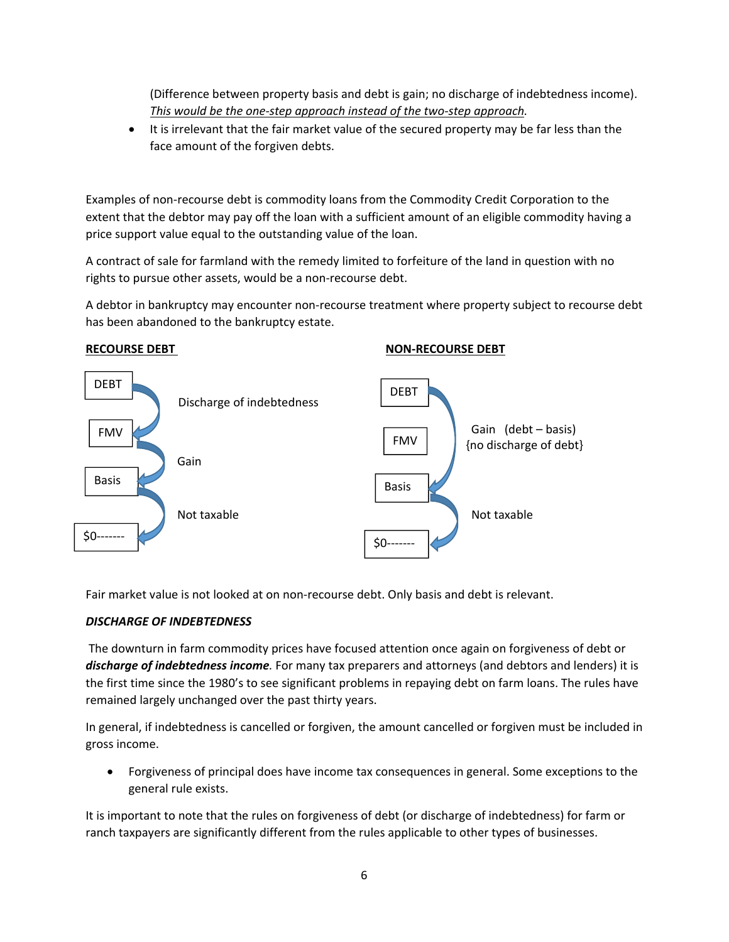(Difference between property basis and debt is gain; no discharge of indebtedness income). *This would be the one‐step approach instead of the two‐step approach.* 

• It is irrelevant that the fair market value of the secured property may be far less than the face amount of the forgiven debts.

Examples of non‐recourse debt is commodity loans from the Commodity Credit Corporation to the extent that the debtor may pay off the loan with a sufficient amount of an eligible commodity having a price support value equal to the outstanding value of the loan.

A contract of sale for farmland with the remedy limited to forfeiture of the land in question with no rights to pursue other assets, would be a non‐recourse debt.

A debtor in bankruptcy may encounter non‐recourse treatment where property subject to recourse debt has been abandoned to the bankruptcy estate.



Fair market value is not looked at on non-recourse debt. Only basis and debt is relevant.

# *DISCHARGE OF INDEBTEDNESS*

The downturn in farm commodity prices have focused attention once again on forgiveness of debt or *discharge of indebtedness income.* For many tax preparers and attorneys (and debtors and lenders) it is the first time since the 1980's to see significant problems in repaying debt on farm loans. The rules have remained largely unchanged over the past thirty years.

In general, if indebtedness is cancelled or forgiven, the amount cancelled or forgiven must be included in gross income.

 Forgiveness of principal does have income tax consequences in general. Some exceptions to the general rule exists.

It is important to note that the rules on forgiveness of debt (or discharge of indebtedness) for farm or ranch taxpayers are significantly different from the rules applicable to other types of businesses.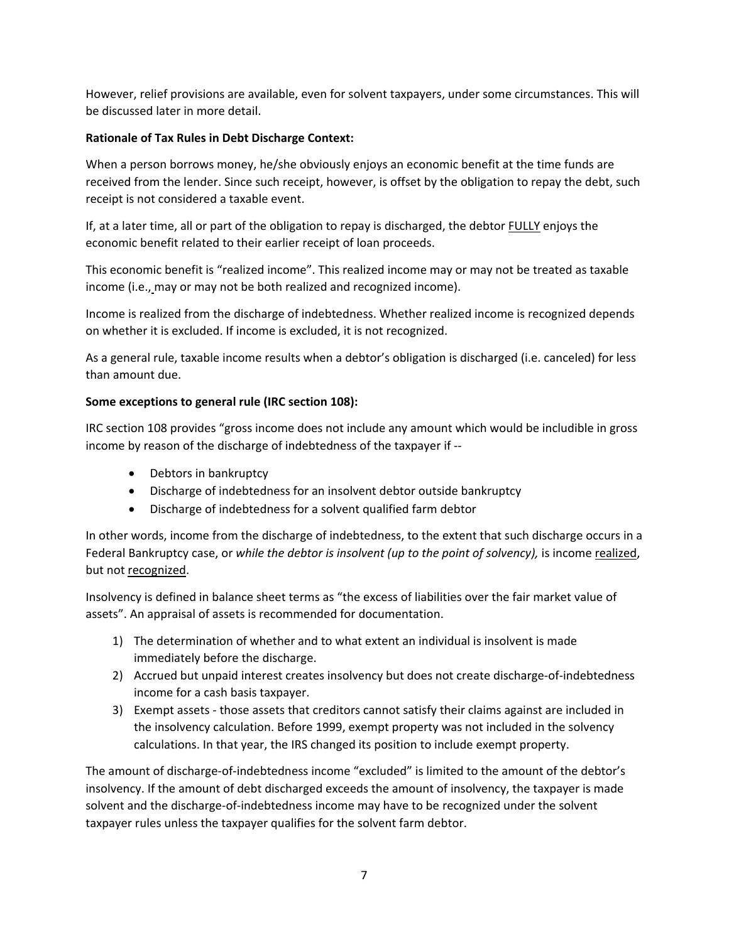However, relief provisions are available, even for solvent taxpayers, under some circumstances. This will be discussed later in more detail.

# **Rationale of Tax Rules in Debt Discharge Context:**

When a person borrows money, he/she obviously enjoys an economic benefit at the time funds are received from the lender. Since such receipt, however, is offset by the obligation to repay the debt, such receipt is not considered a taxable event.

If, at a later time, all or part of the obligation to repay is discharged, the debtor FULLY enjoys the economic benefit related to their earlier receipt of loan proceeds.

This economic benefit is "realized income". This realized income may or may not be treated as taxable income (i.e., may or may not be both realized and recognized income).

Income is realized from the discharge of indebtedness. Whether realized income is recognized depends on whether it is excluded. If income is excluded, it is not recognized.

As a general rule, taxable income results when a debtor's obligation is discharged (i.e. canceled) for less than amount due.

# **Some exceptions to general rule (IRC section 108):**

IRC section 108 provides "gross income does not include any amount which would be includible in gross income by reason of the discharge of indebtedness of the taxpayer if ‐‐

- Debtors in bankruptcy
- Discharge of indebtedness for an insolvent debtor outside bankruptcy
- Discharge of indebtedness for a solvent qualified farm debtor

In other words, income from the discharge of indebtedness, to the extent that such discharge occurs in a Federal Bankruptcy case, or *while the debtor is insolvent (up to the point of solvency)*, is income realized, but not recognized.

Insolvency is defined in balance sheet terms as "the excess of liabilities over the fair market value of assets". An appraisal of assets is recommended for documentation.

- 1) The determination of whether and to what extent an individual is insolvent is made immediately before the discharge.
- 2) Accrued but unpaid interest creates insolvency but does not create discharge-of-indebtedness income for a cash basis taxpayer.
- 3) Exempt assets ‐ those assets that creditors cannot satisfy their claims against are included in the insolvency calculation. Before 1999, exempt property was not included in the solvency calculations. In that year, the IRS changed its position to include exempt property.

The amount of discharge-of-indebtedness income "excluded" is limited to the amount of the debtor's insolvency. If the amount of debt discharged exceeds the amount of insolvency, the taxpayer is made solvent and the discharge‐of‐indebtedness income may have to be recognized under the solvent taxpayer rules unless the taxpayer qualifies for the solvent farm debtor.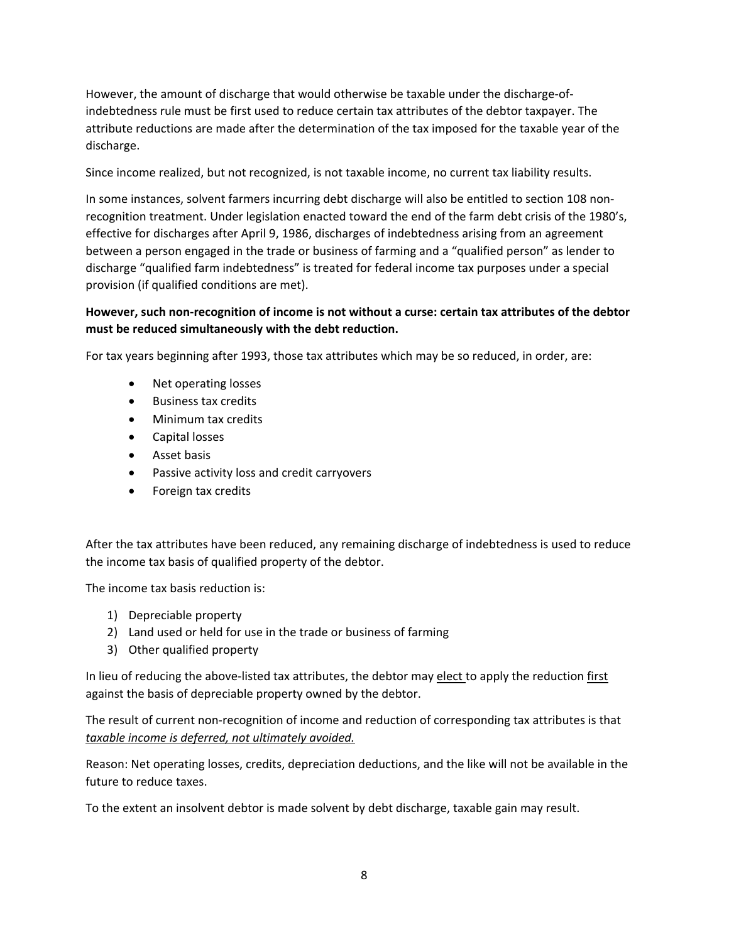However, the amount of discharge that would otherwise be taxable under the discharge-ofindebtedness rule must be first used to reduce certain tax attributes of the debtor taxpayer. The attribute reductions are made after the determination of the tax imposed for the taxable year of the discharge.

Since income realized, but not recognized, is not taxable income, no current tax liability results.

In some instances, solvent farmers incurring debt discharge will also be entitled to section 108 nonrecognition treatment. Under legislation enacted toward the end of the farm debt crisis of the 1980's, effective for discharges after April 9, 1986, discharges of indebtedness arising from an agreement between a person engaged in the trade or business of farming and a "qualified person" as lender to discharge "qualified farm indebtedness" is treated for federal income tax purposes under a special provision (if qualified conditions are met).

# **However, such non‐recognition of income is not without a curse: certain tax attributes of the debtor must be reduced simultaneously with the debt reduction.**

For tax years beginning after 1993, those tax attributes which may be so reduced, in order, are:

- Net operating losses
- Business tax credits
- Minimum tax credits
- Capital losses
- Asset basis
- Passive activity loss and credit carryovers
- Foreign tax credits

After the tax attributes have been reduced, any remaining discharge of indebtedness is used to reduce the income tax basis of qualified property of the debtor.

The income tax basis reduction is:

- 1) Depreciable property
- 2) Land used or held for use in the trade or business of farming
- 3) Other qualified property

In lieu of reducing the above-listed tax attributes, the debtor may elect to apply the reduction first against the basis of depreciable property owned by the debtor.

The result of current non-recognition of income and reduction of corresponding tax attributes is that *taxable income is deferred, not ultimately avoided.* 

Reason: Net operating losses, credits, depreciation deductions, and the like will not be available in the future to reduce taxes.

To the extent an insolvent debtor is made solvent by debt discharge, taxable gain may result.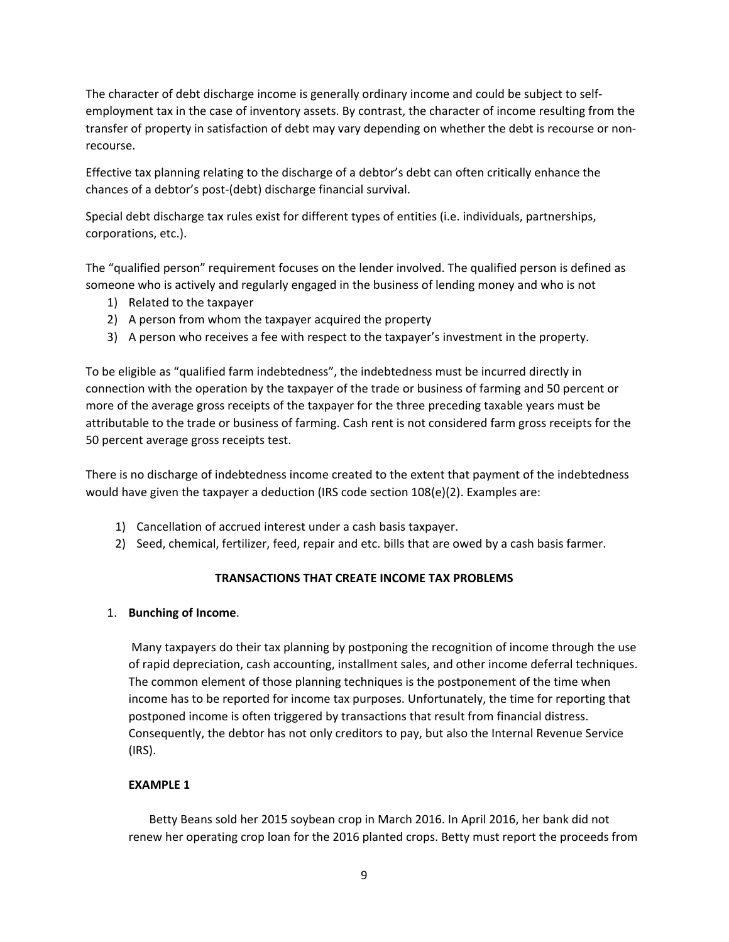The character of debt discharge income is generally ordinary income and could be subject to self‐ employment tax in the case of inventory assets. By contrast, the character of income resulting from the transfer of property in satisfaction of debt may vary depending on whether the debt is recourse or non‐ recourse.

Effective tax planning relating to the discharge of a debtor's debt can often critically enhance the chances of a debtor's post‐(debt) discharge financial survival.

Special debt discharge tax rules exist for different types of entities (i.e. individuals, partnerships, corporations, etc.).

The "qualified person" requirement focuses on the lender involved. The qualified person is defined as someone who is actively and regularly engaged in the business of lending money and who is not

- 1) Related to the taxpayer
- 2) A person from whom the taxpayer acquired the property
- 3) A person who receives a fee with respect to the taxpayer's investment in the property.

To be eligible as "qualified farm indebtedness", the indebtedness must be incurred directly in connection with the operation by the taxpayer of the trade or business of farming and 50 percent or more of the average gross receipts of the taxpayer for the three preceding taxable years must be attributable to the trade or business of farming. Cash rent is not considered farm gross receipts for the 50 percent average gross receipts test.

There is no discharge of indebtedness income created to the extent that payment of the indebtedness would have given the taxpayer a deduction (IRS code section 108(e)(2). Examples are:

- 1) Cancellation of accrued interest under a cash basis taxpayer.
- 2) Seed, chemical, fertilizer, feed, repair and etc. bills that are owed by a cash basis farmer.

## **TRANSACTIONS THAT CREATE INCOME TAX PROBLEMS**

## 1. **Bunching of Income**.

 Many taxpayers do their tax planning by postponing the recognition of income through the use of rapid depreciation, cash accounting, installment sales, and other income deferral techniques. The common element of those planning techniques is the postponement of the time when income has to be reported for income tax purposes. Unfortunately, the time for reporting that postponed income is often triggered by transactions that result from financial distress. Consequently, the debtor has not only creditors to pay, but also the Internal Revenue Service (IRS).

## **EXAMPLE 1**

 Betty Beans sold her 2015 soybean crop in March 2016. In April 2016, her bank did not renew her operating crop loan for the 2016 planted crops. Betty must report the proceeds from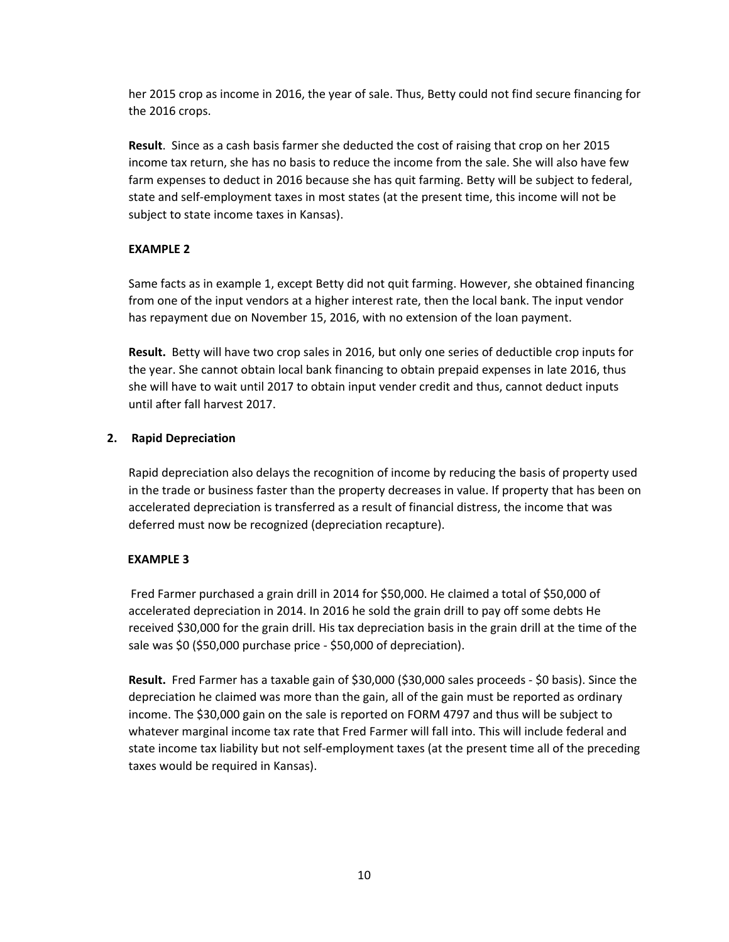her 2015 crop as income in 2016, the year of sale. Thus, Betty could not find secure financing for the 2016 crops.

**Result**. Since as a cash basis farmer she deducted the cost of raising that crop on her 2015 income tax return, she has no basis to reduce the income from the sale. She will also have few farm expenses to deduct in 2016 because she has quit farming. Betty will be subject to federal, state and self‐employment taxes in most states (at the present time, this income will not be subject to state income taxes in Kansas).

# **EXAMPLE 2**

Same facts as in example 1, except Betty did not quit farming. However, she obtained financing from one of the input vendors at a higher interest rate, then the local bank. The input vendor has repayment due on November 15, 2016, with no extension of the loan payment.

**Result.**  Betty will have two crop sales in 2016, but only one series of deductible crop inputs for the year. She cannot obtain local bank financing to obtain prepaid expenses in late 2016, thus she will have to wait until 2017 to obtain input vender credit and thus, cannot deduct inputs until after fall harvest 2017.

# **2. Rapid Depreciation**

Rapid depreciation also delays the recognition of income by reducing the basis of property used in the trade or business faster than the property decreases in value. If property that has been on accelerated depreciation is transferred as a result of financial distress, the income that was deferred must now be recognized (depreciation recapture).

## **EXAMPLE 3**

 Fred Farmer purchased a grain drill in 2014 for \$50,000. He claimed a total of \$50,000 of accelerated depreciation in 2014. In 2016 he sold the grain drill to pay off some debts He received \$30,000 for the grain drill. His tax depreciation basis in the grain drill at the time of the sale was \$0 (\$50,000 purchase price ‐ \$50,000 of depreciation).

Result. Fred Farmer has a taxable gain of \$30,000 (\$30,000 sales proceeds - \$0 basis). Since the depreciation he claimed was more than the gain, all of the gain must be reported as ordinary income. The \$30,000 gain on the sale is reported on FORM 4797 and thus will be subject to whatever marginal income tax rate that Fred Farmer will fall into. This will include federal and state income tax liability but not self‐employment taxes (at the present time all of the preceding taxes would be required in Kansas).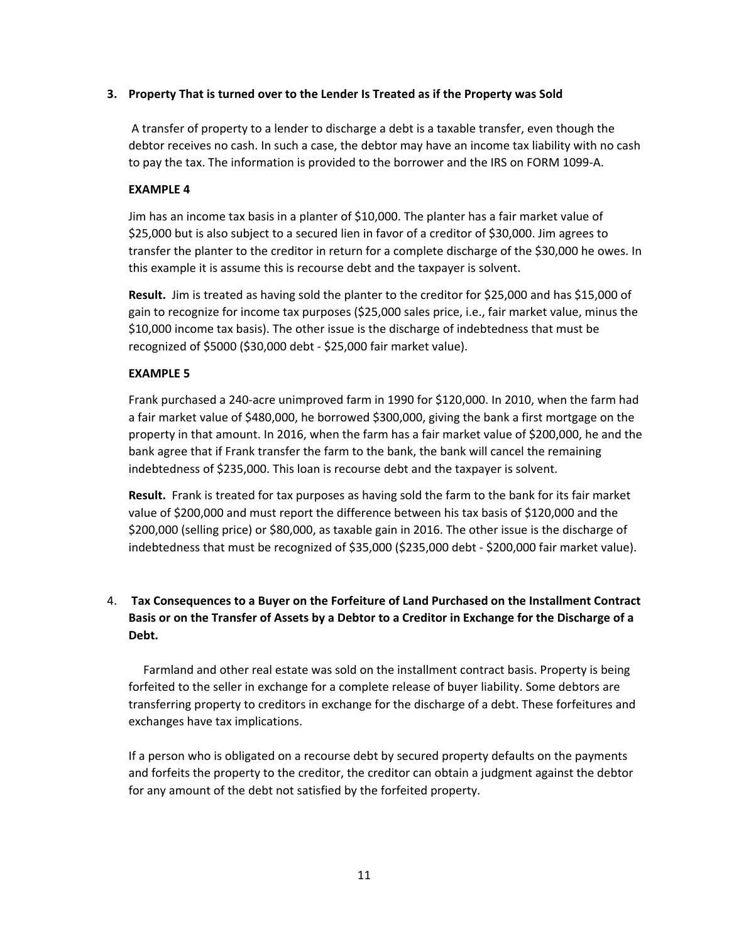## **3. Property That is turned over to the Lender Is Treated as if the Property was Sold**

 A transfer of property to a lender to discharge a debt is a taxable transfer, even though the debtor receives no cash. In such a case, the debtor may have an income tax liability with no cash to pay the tax. The information is provided to the borrower and the IRS on FORM 1099‐A.

#### **EXAMPLE 4**

Jim has an income tax basis in a planter of \$10,000. The planter has a fair market value of \$25,000 but is also subject to a secured lien in favor of a creditor of \$30,000. Jim agrees to transfer the planter to the creditor in return for a complete discharge of the \$30,000 he owes. In this example it is assume this is recourse debt and the taxpayer is solvent.

**Result.** Jim is treated as having sold the planter to the creditor for \$25,000 and has \$15,000 of gain to recognize for income tax purposes (\$25,000 sales price, i.e., fair market value, minus the \$10,000 income tax basis). The other issue is the discharge of indebtedness that must be recognized of \$5000 (\$30,000 debt ‐ \$25,000 fair market value).

#### **EXAMPLE 5**

Frank purchased a 240‐acre unimproved farm in 1990 for \$120,000. In 2010, when the farm had a fair market value of \$480,000, he borrowed \$300,000, giving the bank a first mortgage on the property in that amount. In 2016, when the farm has a fair market value of \$200,000, he and the bank agree that if Frank transfer the farm to the bank, the bank will cancel the remaining indebtedness of \$235,000. This loan is recourse debt and the taxpayer is solvent.

Result. Frank is treated for tax purposes as having sold the farm to the bank for its fair market value of \$200,000 and must report the difference between his tax basis of \$120,000 and the \$200,000 (selling price) or \$80,000, as taxable gain in 2016. The other issue is the discharge of indebtedness that must be recognized of \$35,000 (\$235,000 debt ‐ \$200,000 fair market value).

# 4. **Tax Consequences to a Buyer on the Forfeiture of Land Purchased on the Installment Contract Basis or on the Transfer of Assets by a Debtor to a Creditor in Exchange for the Discharge of a Debt.**

 Farmland and other real estate was sold on the installment contract basis. Property is being forfeited to the seller in exchange for a complete release of buyer liability. Some debtors are transferring property to creditors in exchange for the discharge of a debt. These forfeitures and exchanges have tax implications.

If a person who is obligated on a recourse debt by secured property defaults on the payments and forfeits the property to the creditor, the creditor can obtain a judgment against the debtor for any amount of the debt not satisfied by the forfeited property.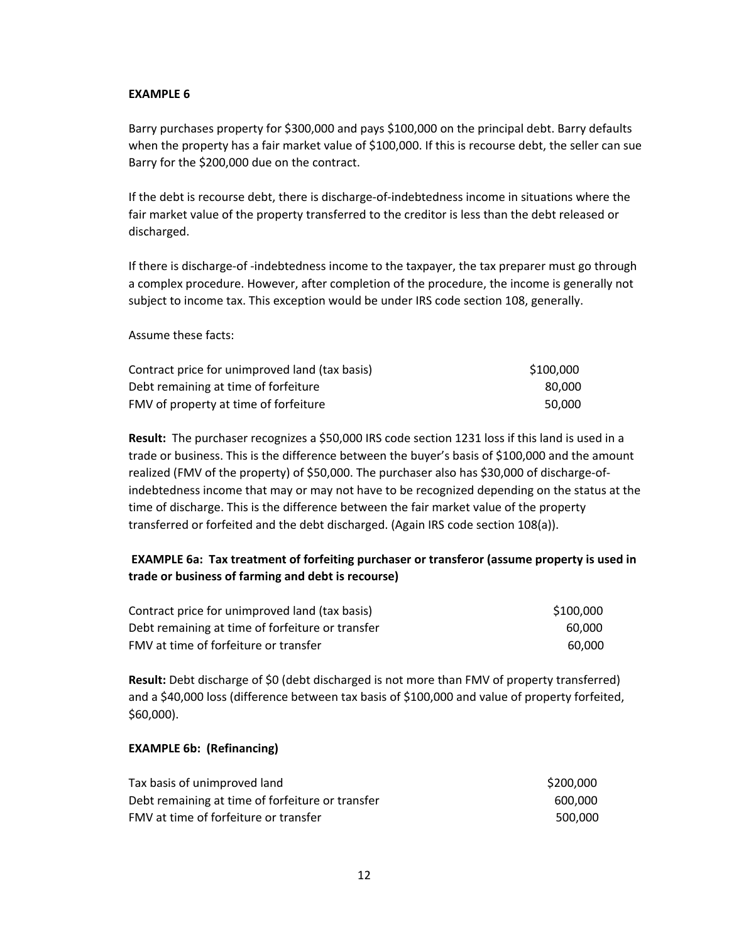#### **EXAMPLE 6**

Barry purchases property for \$300,000 and pays \$100,000 on the principal debt. Barry defaults when the property has a fair market value of \$100,000. If this is recourse debt, the seller can sue Barry for the \$200,000 due on the contract.

If the debt is recourse debt, there is discharge‐of‐indebtedness income in situations where the fair market value of the property transferred to the creditor is less than the debt released or discharged.

If there is discharge‐of ‐indebtedness income to the taxpayer, the tax preparer must go through a complex procedure. However, after completion of the procedure, the income is generally not subject to income tax. This exception would be under IRS code section 108, generally.

Assume these facts:

| Contract price for unimproved land (tax basis) | \$100,000 |
|------------------------------------------------|-----------|
| Debt remaining at time of forfeiture           | 80.000    |
| FMV of property at time of forfeiture          | 50.000    |

**Result:** The purchaser recognizes a \$50,000 IRS code section 1231 loss if this land is used in a trade or business. This is the difference between the buyer's basis of \$100,000 and the amount realized (FMV of the property) of \$50,000. The purchaser also has \$30,000 of discharge‐of‐ indebtedness income that may or may not have to be recognized depending on the status at the time of discharge. This is the difference between the fair market value of the property transferred or forfeited and the debt discharged. (Again IRS code section 108(a)).

# **EXAMPLE 6a: Tax treatment of forfeiting purchaser or transferor (assume property is used in trade or business of farming and debt is recourse)**

| Contract price for unimproved land (tax basis)   | \$100.000 |
|--------------------------------------------------|-----------|
| Debt remaining at time of forfeiture or transfer | 60.000    |
| FMV at time of forfeiture or transfer            | 60.000    |

**Result:** Debt discharge of \$0 (debt discharged is not more than FMV of property transferred) and a \$40,000 loss (difference between tax basis of \$100,000 and value of property forfeited, \$60,000).

#### **EXAMPLE 6b: (Refinancing)**

| Tax basis of unimproved land                     | \$200,000 |
|--------------------------------------------------|-----------|
| Debt remaining at time of forfeiture or transfer | 600.000   |
| FMV at time of forfeiture or transfer            | 500.000   |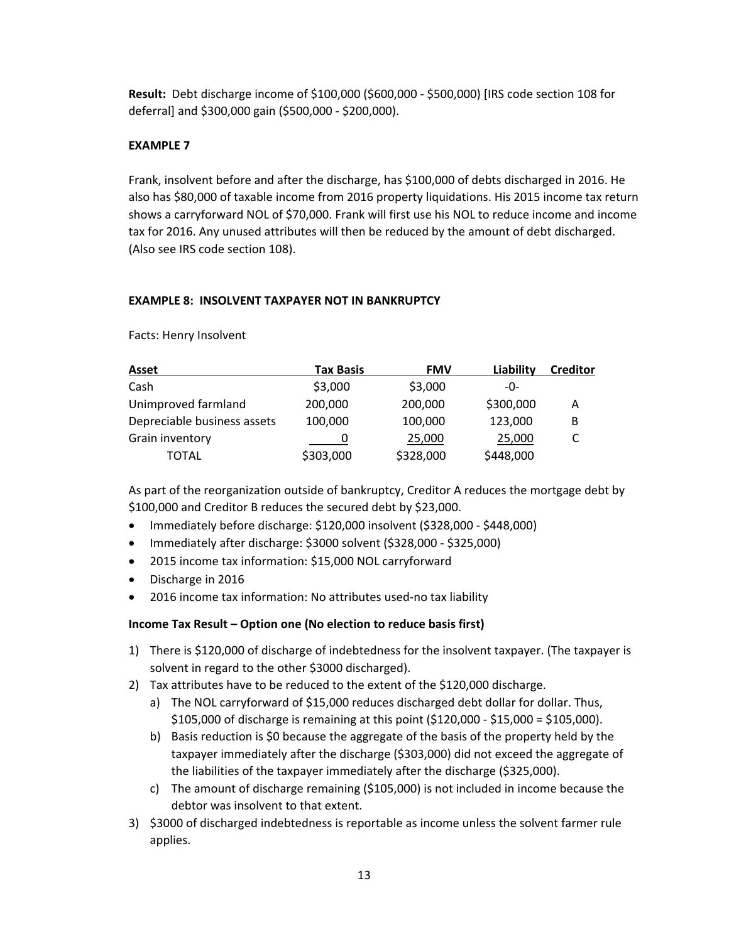**Result:** Debt discharge income of \$100,000 (\$600,000 ‐ \$500,000) [IRS code section 108 for deferral] and \$300,000 gain (\$500,000 ‐ \$200,000).

## **EXAMPLE 7**

Frank, insolvent before and after the discharge, has \$100,000 of debts discharged in 2016. He also has \$80,000 of taxable income from 2016 property liquidations. His 2015 income tax return shows a carryforward NOL of \$70,000. Frank will first use his NOL to reduce income and income tax for 2016. Any unused attributes will then be reduced by the amount of debt discharged. (Also see IRS code section 108).

## **EXAMPLE 8: INSOLVENT TAXPAYER NOT IN BANKRUPTCY**

Facts: Henry Insolvent

| <b>Asset</b>                | Tax Basis | <b>FMV</b> | Liability | <b>Creditor</b> |
|-----------------------------|-----------|------------|-----------|-----------------|
| Cash                        | \$3,000   | \$3,000    | -0-       |                 |
| Unimproved farmland         | 200,000   | 200,000    | \$300,000 | Α               |
| Depreciable business assets | 100,000   | 100,000    | 123,000   | В               |
| Grain inventory             |           | 25,000     | 25,000    |                 |
| TOTAL                       | \$303,000 | \$328,000  | \$448,000 |                 |

As part of the reorganization outside of bankruptcy, Creditor A reduces the mortgage debt by \$100,000 and Creditor B reduces the secured debt by \$23,000.

- Immediately before discharge: \$120,000 insolvent (\$328,000 ‐ \$448,000)
- Immediately after discharge: \$3000 solvent (\$328,000 ‐ \$325,000)
- 2015 income tax information: \$15,000 NOL carryforward
- Discharge in 2016
- 2016 income tax information: No attributes used-no tax liability

## **Income Tax Result – Option one (No election to reduce basis first)**

- 1) There is \$120,000 of discharge of indebtedness for the insolvent taxpayer. (The taxpayer is solvent in regard to the other \$3000 discharged).
- 2) Tax attributes have to be reduced to the extent of the \$120,000 discharge.
	- a) The NOL carryforward of \$15,000 reduces discharged debt dollar for dollar. Thus, \$105,000 of discharge is remaining at this point (\$120,000 ‐ \$15,000 = \$105,000).
	- b) Basis reduction is \$0 because the aggregate of the basis of the property held by the taxpayer immediately after the discharge (\$303,000) did not exceed the aggregate of the liabilities of the taxpayer immediately after the discharge (\$325,000).
	- c) The amount of discharge remaining (\$105,000) is not included in income because the debtor was insolvent to that extent.
- 3) \$3000 of discharged indebtedness is reportable as income unless the solvent farmer rule applies.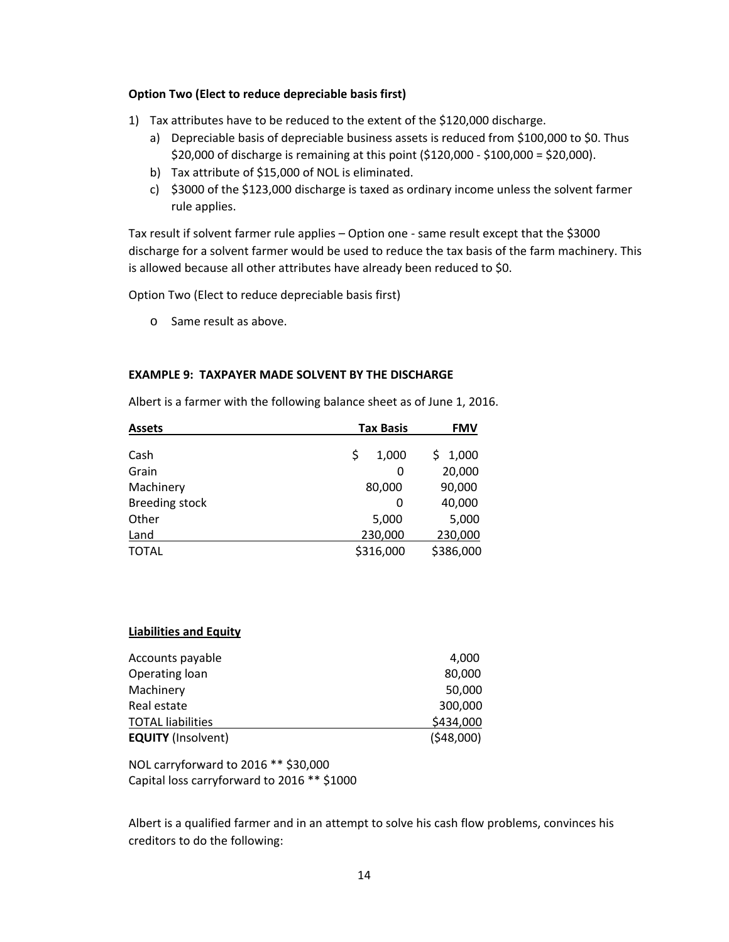#### **Option Two (Elect to reduce depreciable basis first)**

- 1) Tax attributes have to be reduced to the extent of the \$120,000 discharge.
	- a) Depreciable basis of depreciable business assets is reduced from \$100,000 to \$0. Thus \$20,000 of discharge is remaining at this point (\$120,000 ‐ \$100,000 = \$20,000).
	- b) Tax attribute of \$15,000 of NOL is eliminated.
	- c) \$3000 of the \$123,000 discharge is taxed as ordinary income unless the solvent farmer rule applies.

Tax result if solvent farmer rule applies – Option one ‐ same result except that the \$3000 discharge for a solvent farmer would be used to reduce the tax basis of the farm machinery. This is allowed because all other attributes have already been reduced to \$0.

Option Two (Elect to reduce depreciable basis first)

o Same result as above.

#### **EXAMPLE 9: TAXPAYER MADE SOLVENT BY THE DISCHARGE**

| <b>Assets</b>  | <b>Tax Basis</b> | <b>FMV</b>  |
|----------------|------------------|-------------|
| Cash           | \$<br>1,000      | 1,000<br>S. |
| Grain          | 0                | 20,000      |
| Machinery      | 80,000           | 90,000      |
| Breeding stock | 0                | 40,000      |
| Other          | 5,000            | 5,000       |
| Land           | 230,000          | 230,000     |

TOTAL \$316,000 \$386,000

Albert is a farmer with the following balance sheet as of June 1, 2016.

#### **Liabilities and Equity**

| Accounts payable          | 4,000     |
|---------------------------|-----------|
| Operating loan            | 80,000    |
| Machinery                 | 50,000    |
| Real estate               | 300,000   |
| <b>TOTAL liabilities</b>  | \$434,000 |
| <b>EQUITY (Insolvent)</b> | (548,000) |

NOL carryforward to 2016 \*\* \$30,000 Capital loss carryforward to 2016 \*\* \$1000

Albert is a qualified farmer and in an attempt to solve his cash flow problems, convinces his creditors to do the following: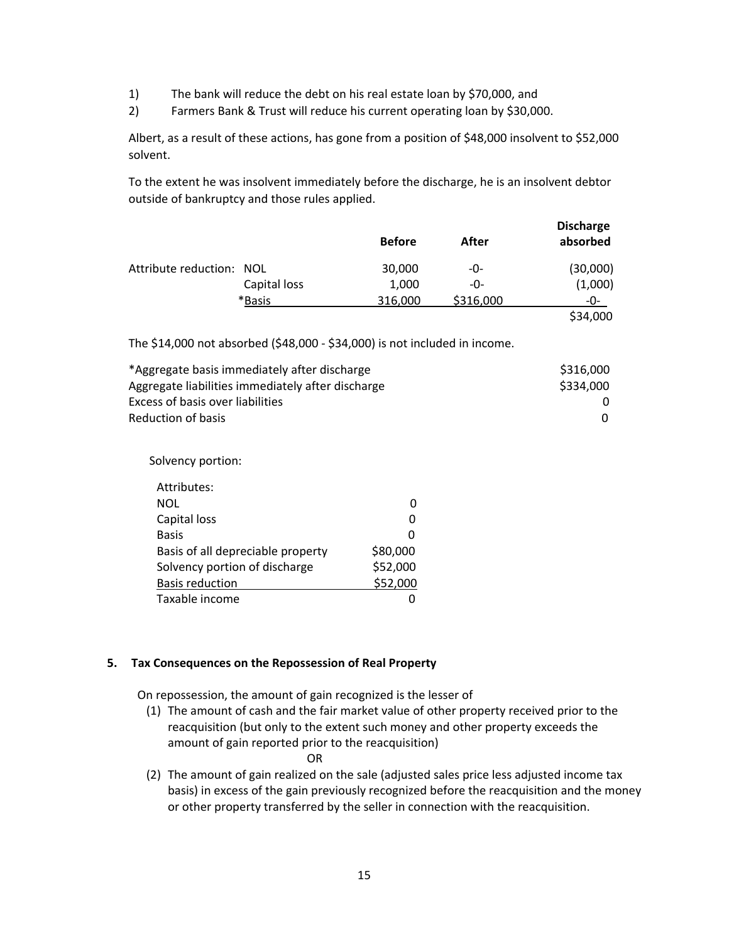- 1) The bank will reduce the debt on his real estate loan by \$70,000, and
- 2) Farmers Bank & Trust will reduce his current operating loan by \$30,000.

Albert, as a result of these actions, has gone from a position of \$48,000 insolvent to \$52,000 solvent.

To the extent he was insolvent immediately before the discharge, he is an insolvent debtor outside of bankruptcy and those rules applied.

|                          |              |               |           | <b>Discharge</b> |
|--------------------------|--------------|---------------|-----------|------------------|
|                          |              | <b>Before</b> | After     | absorbed         |
| Attribute reduction: NOL |              | 30,000        | -0-       | (30,000)         |
|                          | Capital loss | 1,000         | -0-       | (1,000)          |
|                          | *Basis       | 316,000       | \$316,000 | -0-              |
|                          |              |               |           | \$34,000         |

The \$14,000 not absorbed (\$48,000 ‐ \$34,000) is not included in income.

| *Aggregate basis immediately after discharge      | \$316,000 |
|---------------------------------------------------|-----------|
| Aggregate liabilities immediately after discharge | \$334,000 |
| Excess of basis over liabilities                  |           |
| Reduction of basis                                |           |

Solvency portion:

| Attributes:                       |          |
|-----------------------------------|----------|
| <b>NOL</b>                        |          |
| Capital loss                      |          |
| <b>Basis</b>                      |          |
| Basis of all depreciable property | \$80,000 |
| Solvency portion of discharge     | \$52,000 |
| <b>Basis reduction</b>            | \$52,000 |
| Taxable income                    |          |

## **5. Tax Consequences on the Repossession of Real Property**

On repossession, the amount of gain recognized is the lesser of

- (1) The amount of cash and the fair market value of other property received prior to the reacquisition (but only to the extent such money and other property exceeds the amount of gain reported prior to the reacquisition)
	- **OR** STREET STREET AND THE STREET STREET STREET AND THE STREET STREET STREET AND THE STREET STREET AND THE STREET AND THE STREET AND THE STREET AND THE STREET AND THE STREET AND THE STREET AND THE STREET AND THE STREET AND
- (2) The amount of gain realized on the sale (adjusted sales price less adjusted income tax basis) in excess of the gain previously recognized before the reacquisition and the money or other property transferred by the seller in connection with the reacquisition.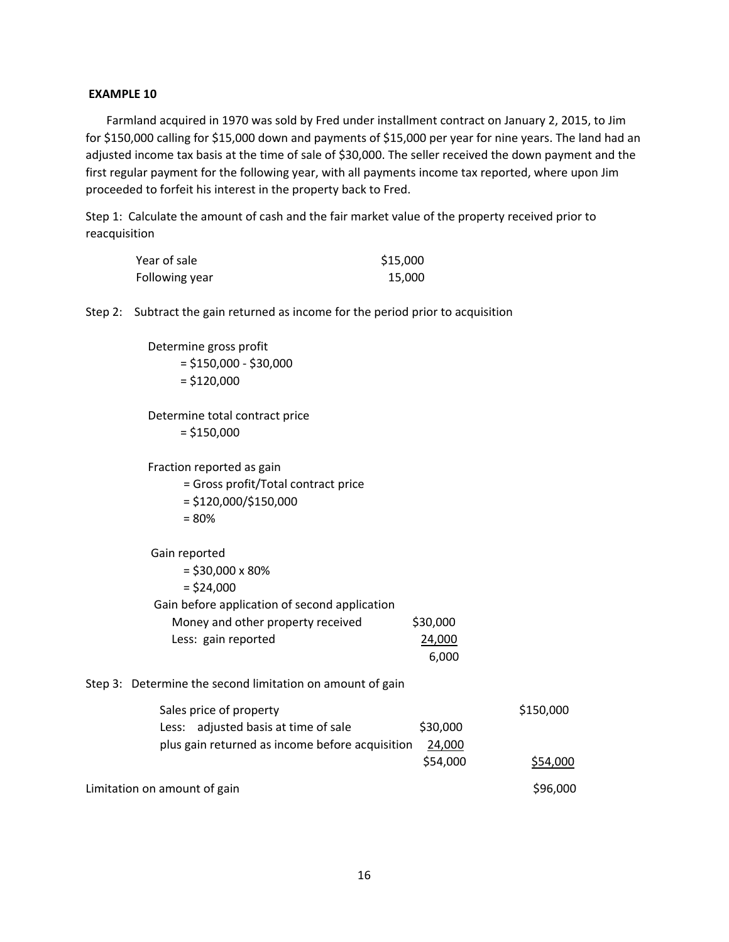#### **EXAMPLE 10**

 Farmland acquired in 1970 was sold by Fred under installment contract on January 2, 2015, to Jim for \$150,000 calling for \$15,000 down and payments of \$15,000 per year for nine years. The land had an adjusted income tax basis at the time of sale of \$30,000. The seller received the down payment and the first regular payment for the following year, with all payments income tax reported, where upon Jim proceeded to forfeit his interest in the property back to Fred.

Step 1: Calculate the amount of cash and the fair market value of the property received prior to reacquisition

| Year of sale   | \$15,000 |
|----------------|----------|
| Following year | 15,000   |

Step 2: Subtract the gain returned as income for the period prior to acquisition

 Determine gross profit  $= $150,000 - $30,000$  $= $120,000$ 

 Determine total contract price  $= $150,000$ 

Fraction reported as gain

- = Gross profit/Total contract price
- = \$120,000/\$150,000
- = 80%

#### Gain reported

| $=$ \$30,000 x 80%                            |          |
|-----------------------------------------------|----------|
| $=$ \$24,000                                  |          |
| Gain before application of second application |          |
| Money and other property received             | \$30,000 |
| Less: gain reported                           | 24,000   |
|                                               |          |

6,000

#### Step 3: Determine the second limitation on amount of gain

| Sales price of property                         |          | \$150,000 |
|-------------------------------------------------|----------|-----------|
| Less: adjusted basis at time of sale            | \$30,000 |           |
| plus gain returned as income before acquisition | 24,000   |           |
|                                                 | \$54,000 | \$54,000  |
| Limitation on amount of gain                    |          | \$96,000  |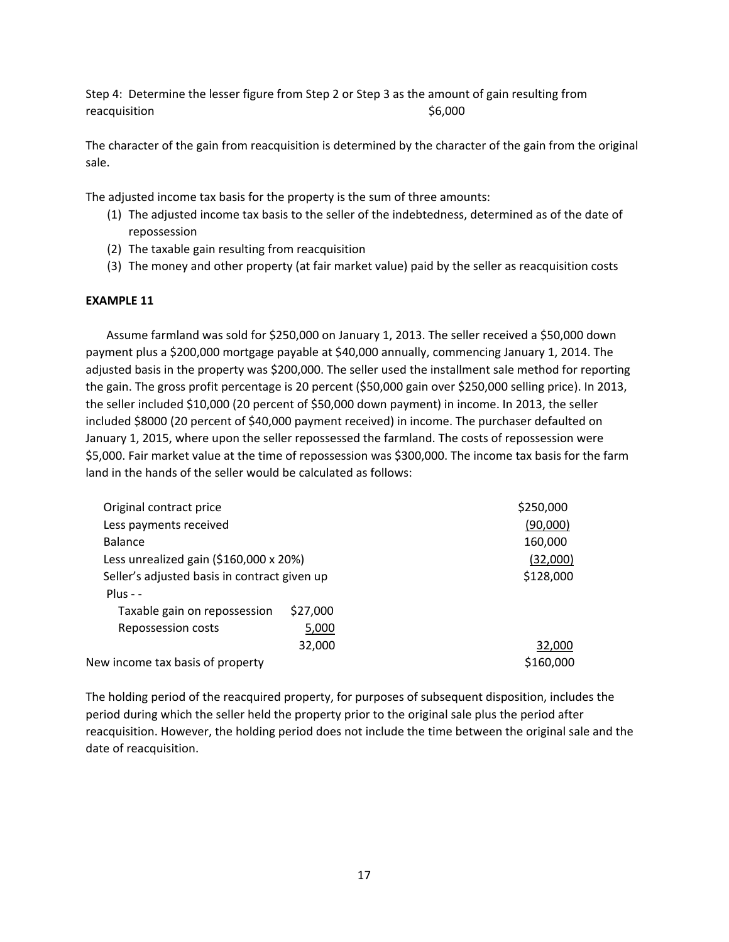Step 4: Determine the lesser figure from Step 2 or Step 3 as the amount of gain resulting from reacquisition  $$6,000$ 

The character of the gain from reacquisition is determined by the character of the gain from the original sale.

The adjusted income tax basis for the property is the sum of three amounts:

- (1) The adjusted income tax basis to the seller of the indebtedness, determined as of the date of repossession
- (2) The taxable gain resulting from reacquisition
- (3) The money and other property (at fair market value) paid by the seller as reacquisition costs

#### **EXAMPLE 11**

 Assume farmland was sold for \$250,000 on January 1, 2013. The seller received a \$50,000 down payment plus a \$200,000 mortgage payable at \$40,000 annually, commencing January 1, 2014. The adjusted basis in the property was \$200,000. The seller used the installment sale method for reporting the gain. The gross profit percentage is 20 percent (\$50,000 gain over \$250,000 selling price). In 2013, the seller included \$10,000 (20 percent of \$50,000 down payment) in income. In 2013, the seller included \$8000 (20 percent of \$40,000 payment received) in income. The purchaser defaulted on January 1, 2015, where upon the seller repossessed the farmland. The costs of repossession were \$5,000. Fair market value at the time of repossession was \$300,000. The income tax basis for the farm land in the hands of the seller would be calculated as follows:

| Original contract price                      |          | \$250,000 |
|----------------------------------------------|----------|-----------|
| Less payments received                       |          | (90,000)  |
| <b>Balance</b>                               |          | 160,000   |
| Less unrealized gain $($160,000 \times 20%)$ |          | (32,000)  |
| Seller's adjusted basis in contract given up |          | \$128,000 |
| $Plus - -$                                   |          |           |
| Taxable gain on repossession                 | \$27,000 |           |
| Repossession costs                           | 5,000    |           |
|                                              | 32,000   | 32,000    |
| New income tax basis of property             |          | \$160,000 |

The holding period of the reacquired property, for purposes of subsequent disposition, includes the period during which the seller held the property prior to the original sale plus the period after reacquisition. However, the holding period does not include the time between the original sale and the date of reacquisition.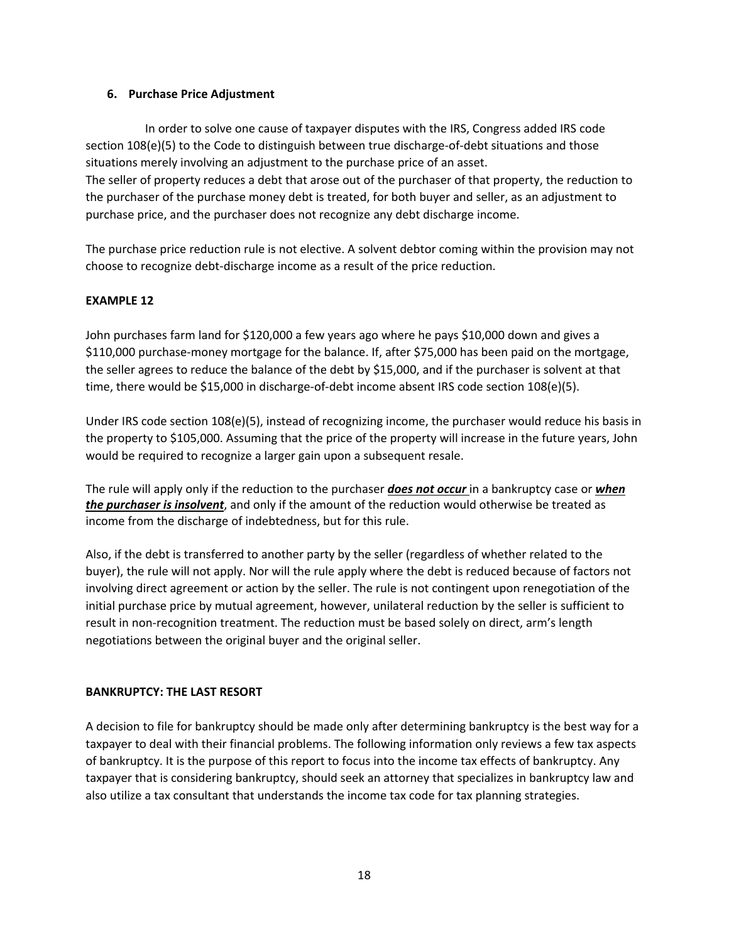## **6. Purchase Price Adjustment**

 In order to solve one cause of taxpayer disputes with the IRS, Congress added IRS code section 108(e)(5) to the Code to distinguish between true discharge-of-debt situations and those situations merely involving an adjustment to the purchase price of an asset. The seller of property reduces a debt that arose out of the purchaser of that property, the reduction to the purchaser of the purchase money debt is treated, for both buyer and seller, as an adjustment to purchase price, and the purchaser does not recognize any debt discharge income.

The purchase price reduction rule is not elective. A solvent debtor coming within the provision may not choose to recognize debt‐discharge income as a result of the price reduction.

# **EXAMPLE 12**

John purchases farm land for \$120,000 a few years ago where he pays \$10,000 down and gives a \$110,000 purchase‐money mortgage for the balance. If, after \$75,000 has been paid on the mortgage, the seller agrees to reduce the balance of the debt by \$15,000, and if the purchaser is solvent at that time, there would be \$15,000 in discharge-of-debt income absent IRS code section 108(e)(5).

Under IRS code section 108(e)(5), instead of recognizing income, the purchaser would reduce his basis in the property to \$105,000. Assuming that the price of the property will increase in the future years, John would be required to recognize a larger gain upon a subsequent resale.

The rule will apply only if the reduction to the purchaser *does not occur* in a bankruptcy case or *when the purchaser is insolvent*, and only if the amount of the reduction would otherwise be treated as income from the discharge of indebtedness, but for this rule.

Also, if the debt is transferred to another party by the seller (regardless of whether related to the buyer), the rule will not apply. Nor will the rule apply where the debt is reduced because of factors not involving direct agreement or action by the seller. The rule is not contingent upon renegotiation of the initial purchase price by mutual agreement, however, unilateral reduction by the seller is sufficient to result in non‐recognition treatment. The reduction must be based solely on direct, arm's length negotiations between the original buyer and the original seller.

## **BANKRUPTCY: THE LAST RESORT**

A decision to file for bankruptcy should be made only after determining bankruptcy is the best way for a taxpayer to deal with their financial problems. The following information only reviews a few tax aspects of bankruptcy. It is the purpose of this report to focus into the income tax effects of bankruptcy. Any taxpayer that is considering bankruptcy, should seek an attorney that specializes in bankruptcy law and also utilize a tax consultant that understands the income tax code for tax planning strategies.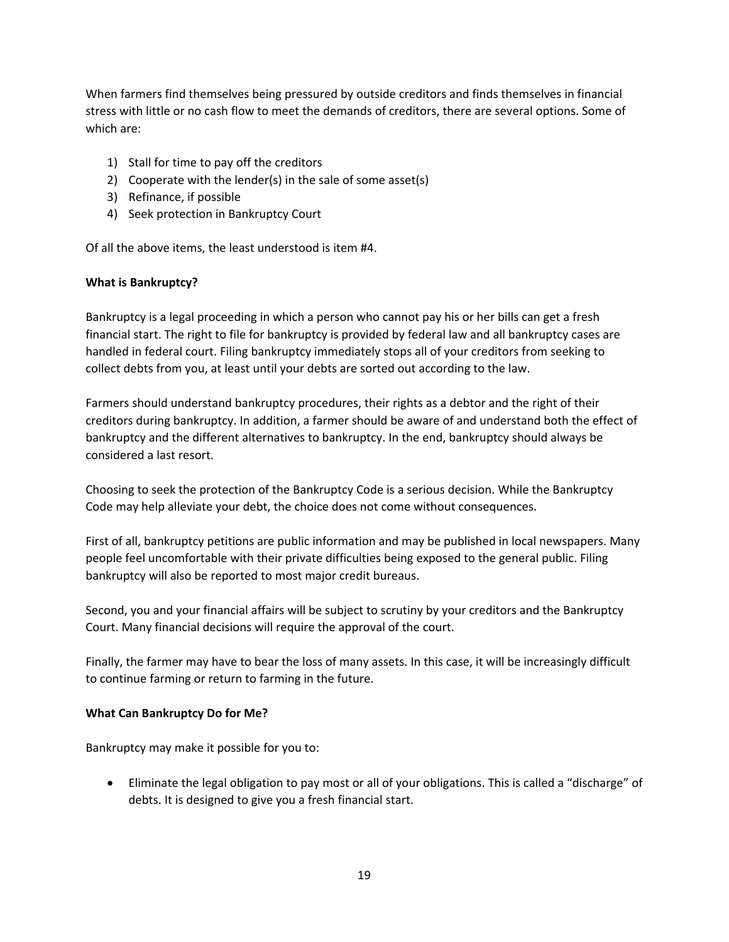When farmers find themselves being pressured by outside creditors and finds themselves in financial stress with little or no cash flow to meet the demands of creditors, there are several options. Some of which are:

- 1) Stall for time to pay off the creditors
- 2) Cooperate with the lender(s) in the sale of some asset(s)
- 3) Refinance, if possible
- 4) Seek protection in Bankruptcy Court

Of all the above items, the least understood is item #4.

## **What is Bankruptcy?**

Bankruptcy is a legal proceeding in which a person who cannot pay his or her bills can get a fresh financial start. The right to file for bankruptcy is provided by federal law and all bankruptcy cases are handled in federal court. Filing bankruptcy immediately stops all of your creditors from seeking to collect debts from you, at least until your debts are sorted out according to the law.

Farmers should understand bankruptcy procedures, their rights as a debtor and the right of their creditors during bankruptcy. In addition, a farmer should be aware of and understand both the effect of bankruptcy and the different alternatives to bankruptcy. In the end, bankruptcy should always be considered a last resort.

Choosing to seek the protection of the Bankruptcy Code is a serious decision. While the Bankruptcy Code may help alleviate your debt, the choice does not come without consequences.

First of all, bankruptcy petitions are public information and may be published in local newspapers. Many people feel uncomfortable with their private difficulties being exposed to the general public. Filing bankruptcy will also be reported to most major credit bureaus.

Second, you and your financial affairs will be subject to scrutiny by your creditors and the Bankruptcy Court. Many financial decisions will require the approval of the court.

Finally, the farmer may have to bear the loss of many assets. In this case, it will be increasingly difficult to continue farming or return to farming in the future.

## **What Can Bankruptcy Do for Me?**

Bankruptcy may make it possible for you to:

 Eliminate the legal obligation to pay most or all of your obligations. This is called a "discharge" of debts. It is designed to give you a fresh financial start.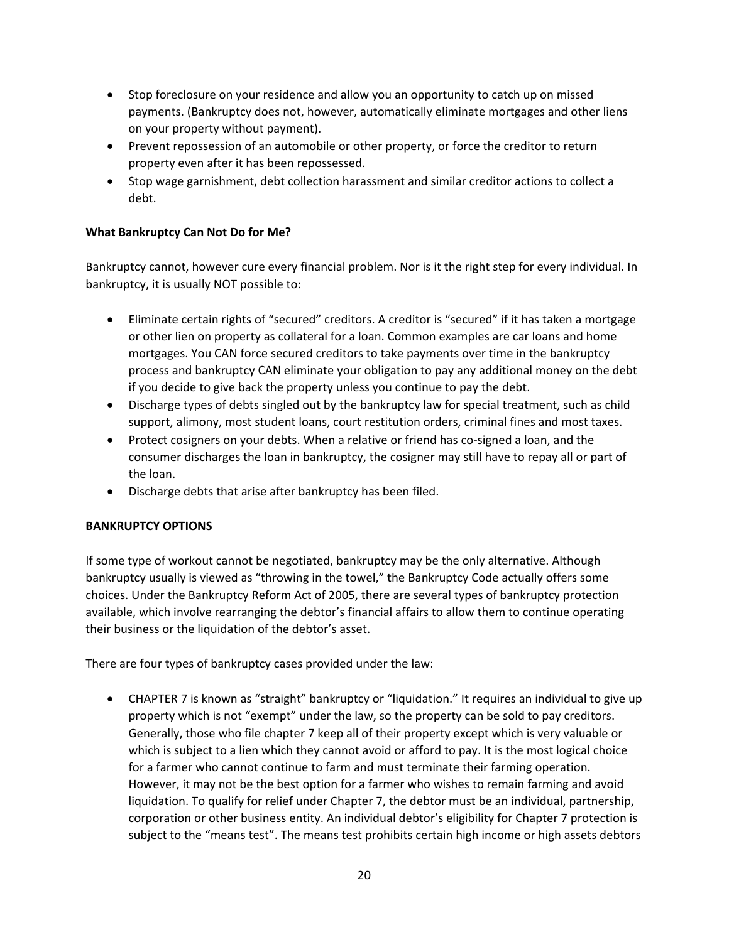- Stop foreclosure on your residence and allow you an opportunity to catch up on missed payments. (Bankruptcy does not, however, automatically eliminate mortgages and other liens on your property without payment).
- Prevent repossession of an automobile or other property, or force the creditor to return property even after it has been repossessed.
- Stop wage garnishment, debt collection harassment and similar creditor actions to collect a debt.

# **What Bankruptcy Can Not Do for Me?**

Bankruptcy cannot, however cure every financial problem. Nor is it the right step for every individual. In bankruptcy, it is usually NOT possible to:

- Eliminate certain rights of "secured" creditors. A creditor is "secured" if it has taken a mortgage or other lien on property as collateral for a loan. Common examples are car loans and home mortgages. You CAN force secured creditors to take payments over time in the bankruptcy process and bankruptcy CAN eliminate your obligation to pay any additional money on the debt if you decide to give back the property unless you continue to pay the debt.
- Discharge types of debts singled out by the bankruptcy law for special treatment, such as child support, alimony, most student loans, court restitution orders, criminal fines and most taxes.
- Protect cosigners on your debts. When a relative or friend has co-signed a loan, and the consumer discharges the loan in bankruptcy, the cosigner may still have to repay all or part of the loan.
- Discharge debts that arise after bankruptcy has been filed.

## **BANKRUPTCY OPTIONS**

If some type of workout cannot be negotiated, bankruptcy may be the only alternative. Although bankruptcy usually is viewed as "throwing in the towel," the Bankruptcy Code actually offers some choices. Under the Bankruptcy Reform Act of 2005, there are several types of bankruptcy protection available, which involve rearranging the debtor's financial affairs to allow them to continue operating their business or the liquidation of the debtor's asset.

There are four types of bankruptcy cases provided under the law:

 CHAPTER 7 is known as "straight" bankruptcy or "liquidation." It requires an individual to give up property which is not "exempt" under the law, so the property can be sold to pay creditors. Generally, those who file chapter 7 keep all of their property except which is very valuable or which is subject to a lien which they cannot avoid or afford to pay. It is the most logical choice for a farmer who cannot continue to farm and must terminate their farming operation. However, it may not be the best option for a farmer who wishes to remain farming and avoid liquidation. To qualify for relief under Chapter 7, the debtor must be an individual, partnership, corporation or other business entity. An individual debtor's eligibility for Chapter 7 protection is subject to the "means test". The means test prohibits certain high income or high assets debtors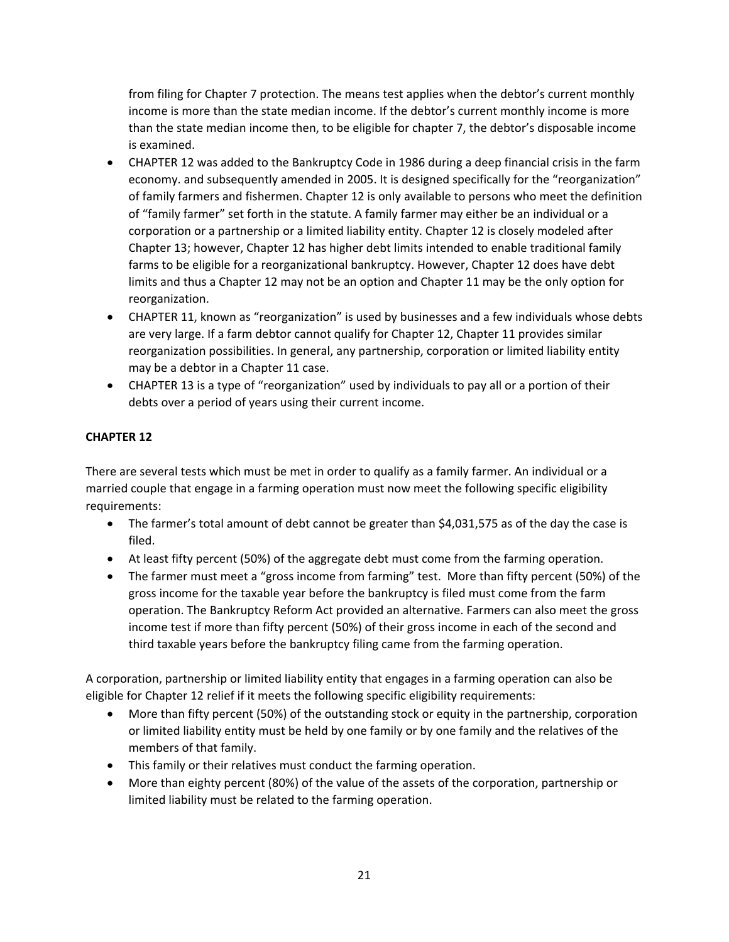from filing for Chapter 7 protection. The means test applies when the debtor's current monthly income is more than the state median income. If the debtor's current monthly income is more than the state median income then, to be eligible for chapter 7, the debtor's disposable income is examined.

- CHAPTER 12 was added to the Bankruptcy Code in 1986 during a deep financial crisis in the farm economy. and subsequently amended in 2005. It is designed specifically for the "reorganization" of family farmers and fishermen. Chapter 12 is only available to persons who meet the definition of "family farmer" set forth in the statute. A family farmer may either be an individual or a corporation or a partnership or a limited liability entity. Chapter 12 is closely modeled after Chapter 13; however, Chapter 12 has higher debt limits intended to enable traditional family farms to be eligible for a reorganizational bankruptcy. However, Chapter 12 does have debt limits and thus a Chapter 12 may not be an option and Chapter 11 may be the only option for reorganization.
- CHAPTER 11, known as "reorganization" is used by businesses and a few individuals whose debts are very large. If a farm debtor cannot qualify for Chapter 12, Chapter 11 provides similar reorganization possibilities. In general, any partnership, corporation or limited liability entity may be a debtor in a Chapter 11 case.
- CHAPTER 13 is a type of "reorganization" used by individuals to pay all or a portion of their debts over a period of years using their current income.

# **CHAPTER 12**

There are several tests which must be met in order to qualify as a family farmer. An individual or a married couple that engage in a farming operation must now meet the following specific eligibility requirements:

- The farmer's total amount of debt cannot be greater than \$4,031,575 as of the day the case is filed.
- At least fifty percent (50%) of the aggregate debt must come from the farming operation.
- The farmer must meet a "gross income from farming" test. More than fifty percent (50%) of the gross income for the taxable year before the bankruptcy is filed must come from the farm operation. The Bankruptcy Reform Act provided an alternative. Farmers can also meet the gross income test if more than fifty percent (50%) of their gross income in each of the second and third taxable years before the bankruptcy filing came from the farming operation.

A corporation, partnership or limited liability entity that engages in a farming operation can also be eligible for Chapter 12 relief if it meets the following specific eligibility requirements:

- More than fifty percent (50%) of the outstanding stock or equity in the partnership, corporation or limited liability entity must be held by one family or by one family and the relatives of the members of that family.
- This family or their relatives must conduct the farming operation.
- More than eighty percent (80%) of the value of the assets of the corporation, partnership or limited liability must be related to the farming operation.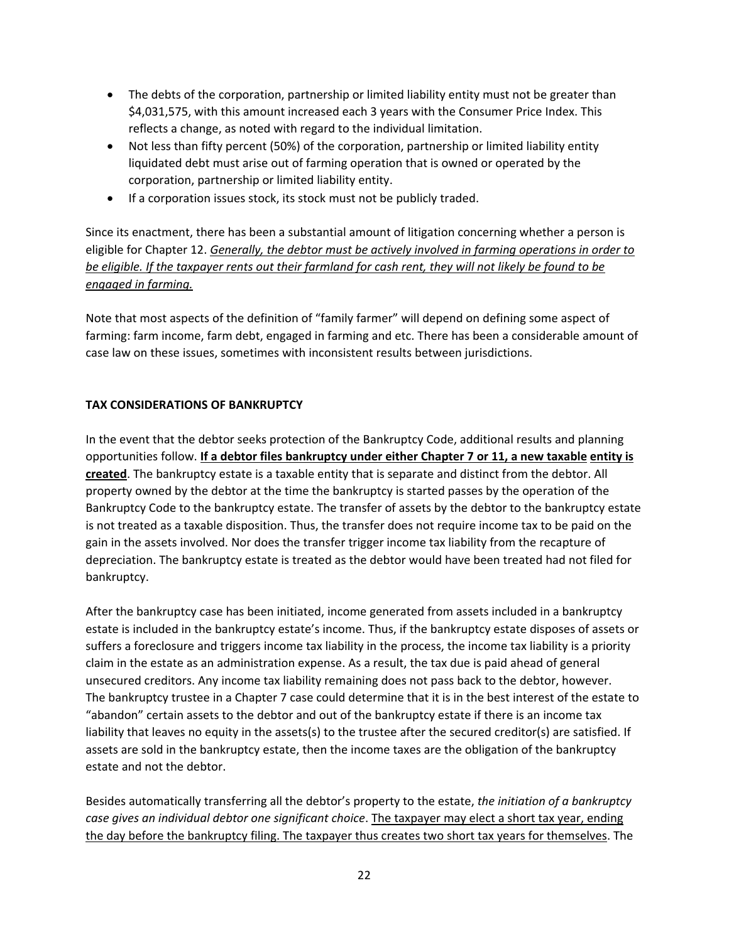- The debts of the corporation, partnership or limited liability entity must not be greater than \$4,031,575, with this amount increased each 3 years with the Consumer Price Index. This reflects a change, as noted with regard to the individual limitation.
- Not less than fifty percent (50%) of the corporation, partnership or limited liability entity liquidated debt must arise out of farming operation that is owned or operated by the corporation, partnership or limited liability entity.
- If a corporation issues stock, its stock must not be publicly traded.

Since its enactment, there has been a substantial amount of litigation concerning whether a person is eligible for Chapter 12. *Generally, the debtor must be actively involved in farming operations in order to be eligible. If the taxpayer rents out their farmland for cash rent, they will not likely be found to be engaged in farming.*

Note that most aspects of the definition of "family farmer" will depend on defining some aspect of farming: farm income, farm debt, engaged in farming and etc. There has been a considerable amount of case law on these issues, sometimes with inconsistent results between jurisdictions.

# **TAX CONSIDERATIONS OF BANKRUPTCY**

In the event that the debtor seeks protection of the Bankruptcy Code, additional results and planning opportunities follow. **If a debtor files bankruptcy under either Chapter 7 or 11, a new taxable entity is created**. The bankruptcy estate is a taxable entity that is separate and distinct from the debtor. All property owned by the debtor at the time the bankruptcy is started passes by the operation of the Bankruptcy Code to the bankruptcy estate. The transfer of assets by the debtor to the bankruptcy estate is not treated as a taxable disposition. Thus, the transfer does not require income tax to be paid on the gain in the assets involved. Nor does the transfer trigger income tax liability from the recapture of depreciation. The bankruptcy estate is treated as the debtor would have been treated had not filed for bankruptcy.

After the bankruptcy case has been initiated, income generated from assets included in a bankruptcy estate is included in the bankruptcy estate's income. Thus, if the bankruptcy estate disposes of assets or suffers a foreclosure and triggers income tax liability in the process, the income tax liability is a priority claim in the estate as an administration expense. As a result, the tax due is paid ahead of general unsecured creditors. Any income tax liability remaining does not pass back to the debtor, however. The bankruptcy trustee in a Chapter 7 case could determine that it is in the best interest of the estate to "abandon" certain assets to the debtor and out of the bankruptcy estate if there is an income tax liability that leaves no equity in the assets(s) to the trustee after the secured creditor(s) are satisfied. If assets are sold in the bankruptcy estate, then the income taxes are the obligation of the bankruptcy estate and not the debtor.

Besides automatically transferring all the debtor's property to the estate, *the initiation of a bankruptcy case gives an individual debtor one significant choice*. The taxpayer may elect a short tax year, ending the day before the bankruptcy filing. The taxpayer thus creates two short tax years for themselves. The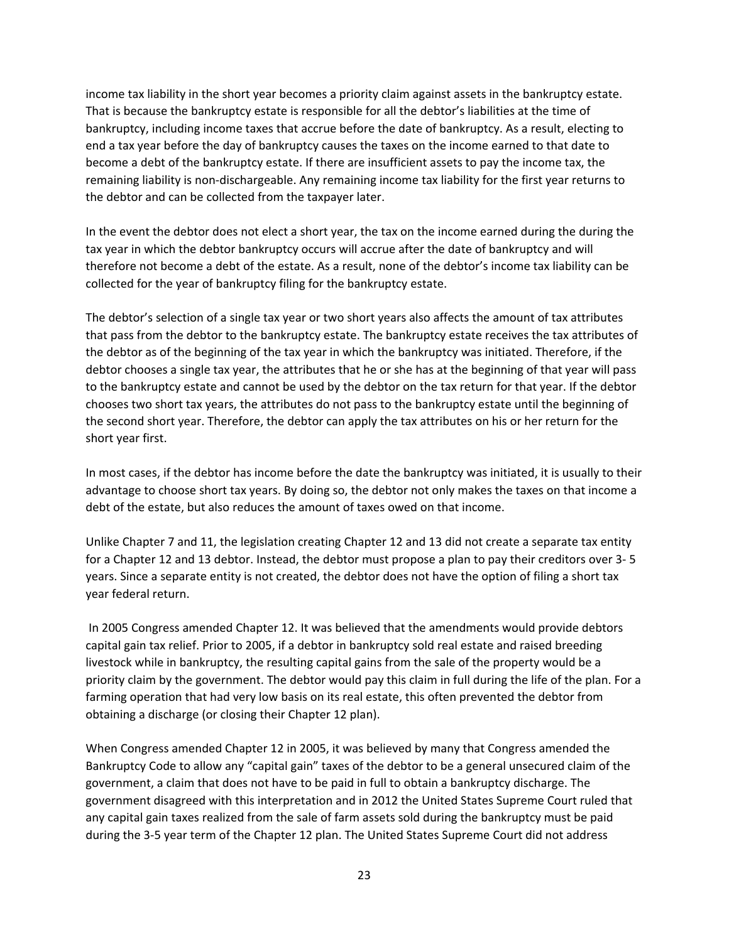income tax liability in the short year becomes a priority claim against assets in the bankruptcy estate. That is because the bankruptcy estate is responsible for all the debtor's liabilities at the time of bankruptcy, including income taxes that accrue before the date of bankruptcy. As a result, electing to end a tax year before the day of bankruptcy causes the taxes on the income earned to that date to become a debt of the bankruptcy estate. If there are insufficient assets to pay the income tax, the remaining liability is non‐dischargeable. Any remaining income tax liability for the first year returns to the debtor and can be collected from the taxpayer later.

In the event the debtor does not elect a short year, the tax on the income earned during the during the tax year in which the debtor bankruptcy occurs will accrue after the date of bankruptcy and will therefore not become a debt of the estate. As a result, none of the debtor's income tax liability can be collected for the year of bankruptcy filing for the bankruptcy estate.

The debtor's selection of a single tax year or two short years also affects the amount of tax attributes that pass from the debtor to the bankruptcy estate. The bankruptcy estate receives the tax attributes of the debtor as of the beginning of the tax year in which the bankruptcy was initiated. Therefore, if the debtor chooses a single tax year, the attributes that he or she has at the beginning of that year will pass to the bankruptcy estate and cannot be used by the debtor on the tax return for that year. If the debtor chooses two short tax years, the attributes do not pass to the bankruptcy estate until the beginning of the second short year. Therefore, the debtor can apply the tax attributes on his or her return for the short year first.

In most cases, if the debtor has income before the date the bankruptcy was initiated, it is usually to their advantage to choose short tax years. By doing so, the debtor not only makes the taxes on that income a debt of the estate, but also reduces the amount of taxes owed on that income.

Unlike Chapter 7 and 11, the legislation creating Chapter 12 and 13 did not create a separate tax entity for a Chapter 12 and 13 debtor. Instead, the debtor must propose a plan to pay their creditors over 3‐ 5 years. Since a separate entity is not created, the debtor does not have the option of filing a short tax year federal return.

 In 2005 Congress amended Chapter 12. It was believed that the amendments would provide debtors capital gain tax relief. Prior to 2005, if a debtor in bankruptcy sold real estate and raised breeding livestock while in bankruptcy, the resulting capital gains from the sale of the property would be a priority claim by the government. The debtor would pay this claim in full during the life of the plan. For a farming operation that had very low basis on its real estate, this often prevented the debtor from obtaining a discharge (or closing their Chapter 12 plan).

When Congress amended Chapter 12 in 2005, it was believed by many that Congress amended the Bankruptcy Code to allow any "capital gain" taxes of the debtor to be a general unsecured claim of the government, a claim that does not have to be paid in full to obtain a bankruptcy discharge. The government disagreed with this interpretation and in 2012 the United States Supreme Court ruled that any capital gain taxes realized from the sale of farm assets sold during the bankruptcy must be paid during the 3‐5 year term of the Chapter 12 plan. The United States Supreme Court did not address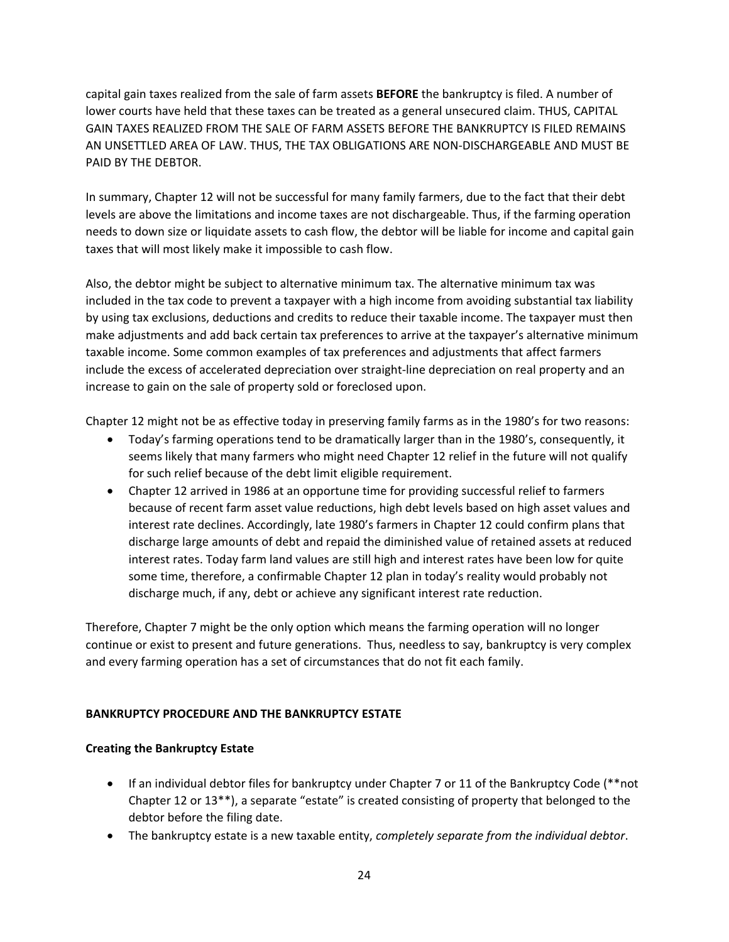capital gain taxes realized from the sale of farm assets **BEFORE** the bankruptcy is filed. A number of lower courts have held that these taxes can be treated as a general unsecured claim. THUS, CAPITAL GAIN TAXES REALIZED FROM THE SALE OF FARM ASSETS BEFORE THE BANKRUPTCY IS FILED REMAINS AN UNSETTLED AREA OF LAW. THUS, THE TAX OBLIGATIONS ARE NON‐DISCHARGEABLE AND MUST BE PAID BY THE DEBTOR.

In summary, Chapter 12 will not be successful for many family farmers, due to the fact that their debt levels are above the limitations and income taxes are not dischargeable. Thus, if the farming operation needs to down size or liquidate assets to cash flow, the debtor will be liable for income and capital gain taxes that will most likely make it impossible to cash flow.

Also, the debtor might be subject to alternative minimum tax. The alternative minimum tax was included in the tax code to prevent a taxpayer with a high income from avoiding substantial tax liability by using tax exclusions, deductions and credits to reduce their taxable income. The taxpayer must then make adjustments and add back certain tax preferences to arrive at the taxpayer's alternative minimum taxable income. Some common examples of tax preferences and adjustments that affect farmers include the excess of accelerated depreciation over straight‐line depreciation on real property and an increase to gain on the sale of property sold or foreclosed upon.

Chapter 12 might not be as effective today in preserving family farms as in the 1980's for two reasons:

- Today's farming operations tend to be dramatically larger than in the 1980's, consequently, it seems likely that many farmers who might need Chapter 12 relief in the future will not qualify for such relief because of the debt limit eligible requirement.
- Chapter 12 arrived in 1986 at an opportune time for providing successful relief to farmers because of recent farm asset value reductions, high debt levels based on high asset values and interest rate declines. Accordingly, late 1980's farmers in Chapter 12 could confirm plans that discharge large amounts of debt and repaid the diminished value of retained assets at reduced interest rates. Today farm land values are still high and interest rates have been low for quite some time, therefore, a confirmable Chapter 12 plan in today's reality would probably not discharge much, if any, debt or achieve any significant interest rate reduction.

Therefore, Chapter 7 might be the only option which means the farming operation will no longer continue or exist to present and future generations. Thus, needless to say, bankruptcy is very complex and every farming operation has a set of circumstances that do not fit each family.

## **BANKRUPTCY PROCEDURE AND THE BANKRUPTCY ESTATE**

## **Creating the Bankruptcy Estate**

- If an individual debtor files for bankruptcy under Chapter 7 or 11 of the Bankruptcy Code (\*\*not Chapter 12 or 13\*\*), a separate "estate" is created consisting of property that belonged to the debtor before the filing date.
- The bankruptcy estate is a new taxable entity, *completely separate from the individual debtor*.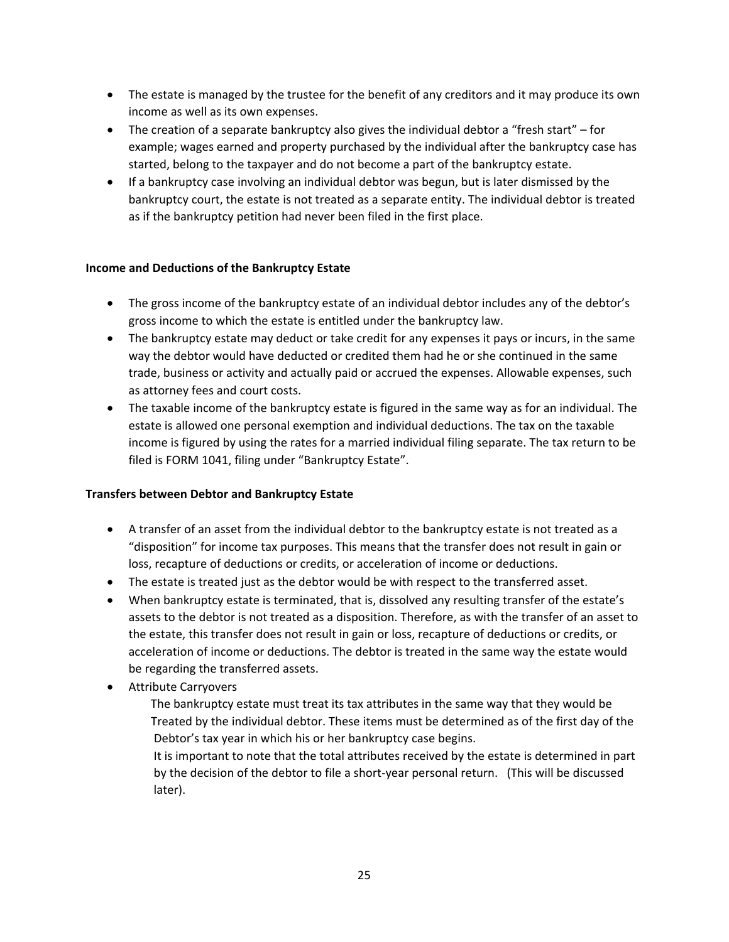- The estate is managed by the trustee for the benefit of any creditors and it may produce its own income as well as its own expenses.
- The creation of a separate bankruptcy also gives the individual debtor a "fresh start" for example; wages earned and property purchased by the individual after the bankruptcy case has started, belong to the taxpayer and do not become a part of the bankruptcy estate.
- If a bankruptcy case involving an individual debtor was begun, but is later dismissed by the bankruptcy court, the estate is not treated as a separate entity. The individual debtor is treated as if the bankruptcy petition had never been filed in the first place.

# **Income and Deductions of the Bankruptcy Estate**

- The gross income of the bankruptcy estate of an individual debtor includes any of the debtor's gross income to which the estate is entitled under the bankruptcy law.
- The bankruptcy estate may deduct or take credit for any expenses it pays or incurs, in the same way the debtor would have deducted or credited them had he or she continued in the same trade, business or activity and actually paid or accrued the expenses. Allowable expenses, such as attorney fees and court costs.
- The taxable income of the bankruptcy estate is figured in the same way as for an individual. The estate is allowed one personal exemption and individual deductions. The tax on the taxable income is figured by using the rates for a married individual filing separate. The tax return to be filed is FORM 1041, filing under "Bankruptcy Estate".

# **Transfers between Debtor and Bankruptcy Estate**

- A transfer of an asset from the individual debtor to the bankruptcy estate is not treated as a "disposition" for income tax purposes. This means that the transfer does not result in gain or loss, recapture of deductions or credits, or acceleration of income or deductions.
- The estate is treated just as the debtor would be with respect to the transferred asset.
- When bankruptcy estate is terminated, that is, dissolved any resulting transfer of the estate's assets to the debtor is not treated as a disposition. Therefore, as with the transfer of an asset to the estate, this transfer does not result in gain or loss, recapture of deductions or credits, or acceleration of income or deductions. The debtor is treated in the same way the estate would be regarding the transferred assets.
- Attribute Carryovers
	- The bankruptcy estate must treat its tax attributes in the same way that they would be Treated by the individual debtor. These items must be determined as of the first day of the Debtor's tax year in which his or her bankruptcy case begins.
	- It is important to note that the total attributes received by the estate is determined in part by the decision of the debtor to file a short-year personal return. (This will be discussed later).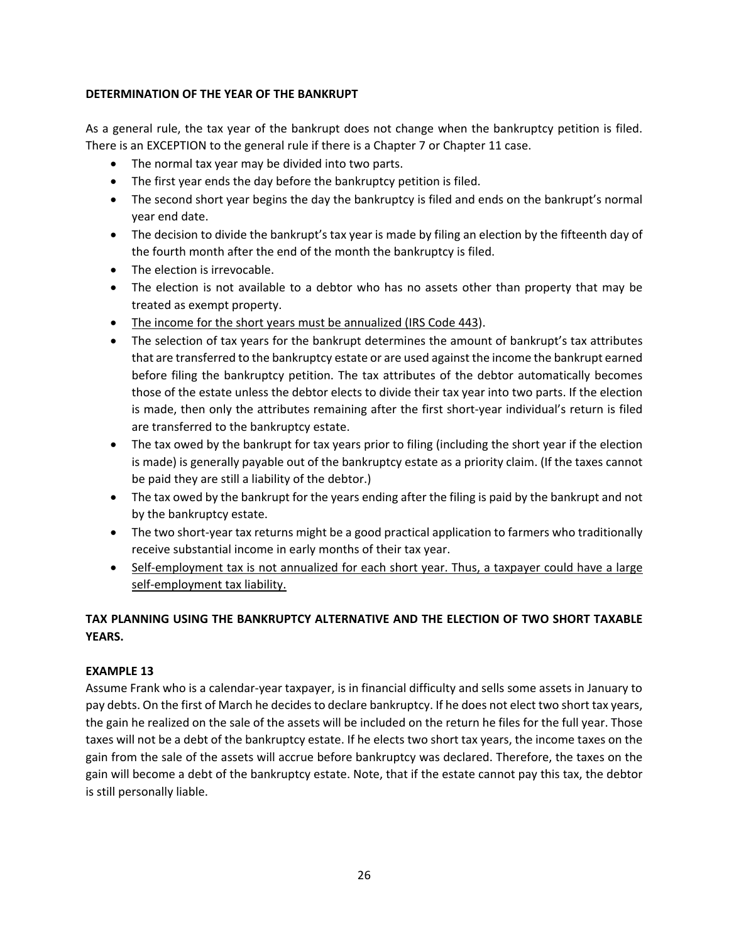# **DETERMINATION OF THE YEAR OF THE BANKRUPT**

As a general rule, the tax year of the bankrupt does not change when the bankruptcy petition is filed. There is an EXCEPTION to the general rule if there is a Chapter 7 or Chapter 11 case.

- The normal tax year may be divided into two parts.
- The first year ends the day before the bankruptcy petition is filed.
- The second short year begins the day the bankruptcy is filed and ends on the bankrupt's normal year end date.
- The decision to divide the bankrupt's tax year is made by filing an election by the fifteenth day of the fourth month after the end of the month the bankruptcy is filed.
- The election is irrevocable.
- The election is not available to a debtor who has no assets other than property that may be treated as exempt property.
- The income for the short years must be annualized (IRS Code 443).
- The selection of tax years for the bankrupt determines the amount of bankrupt's tax attributes that are transferred to the bankruptcy estate or are used against the income the bankrupt earned before filing the bankruptcy petition. The tax attributes of the debtor automatically becomes those of the estate unless the debtor elects to divide their tax year into two parts. If the election is made, then only the attributes remaining after the first short-year individual's return is filed are transferred to the bankruptcy estate.
- The tax owed by the bankrupt for tax years prior to filing (including the short year if the election is made) is generally payable out of the bankruptcy estate as a priority claim. (If the taxes cannot be paid they are still a liability of the debtor.)
- The tax owed by the bankrupt for the years ending after the filing is paid by the bankrupt and not by the bankruptcy estate.
- The two short-year tax returns might be a good practical application to farmers who traditionally receive substantial income in early months of their tax year.
- Self-employment tax is not annualized for each short year. Thus, a taxpayer could have a large self-employment tax liability.

# **TAX PLANNING USING THE BANKRUPTCY ALTERNATIVE AND THE ELECTION OF TWO SHORT TAXABLE YEARS.**

## **EXAMPLE 13**

Assume Frank who is a calendar‐year taxpayer, is in financial difficulty and sells some assets in January to pay debts. On the first of March he decides to declare bankruptcy. If he does not elect two short tax years, the gain he realized on the sale of the assets will be included on the return he files for the full year. Those taxes will not be a debt of the bankruptcy estate. If he elects two short tax years, the income taxes on the gain from the sale of the assets will accrue before bankruptcy was declared. Therefore, the taxes on the gain will become a debt of the bankruptcy estate. Note, that if the estate cannot pay this tax, the debtor is still personally liable.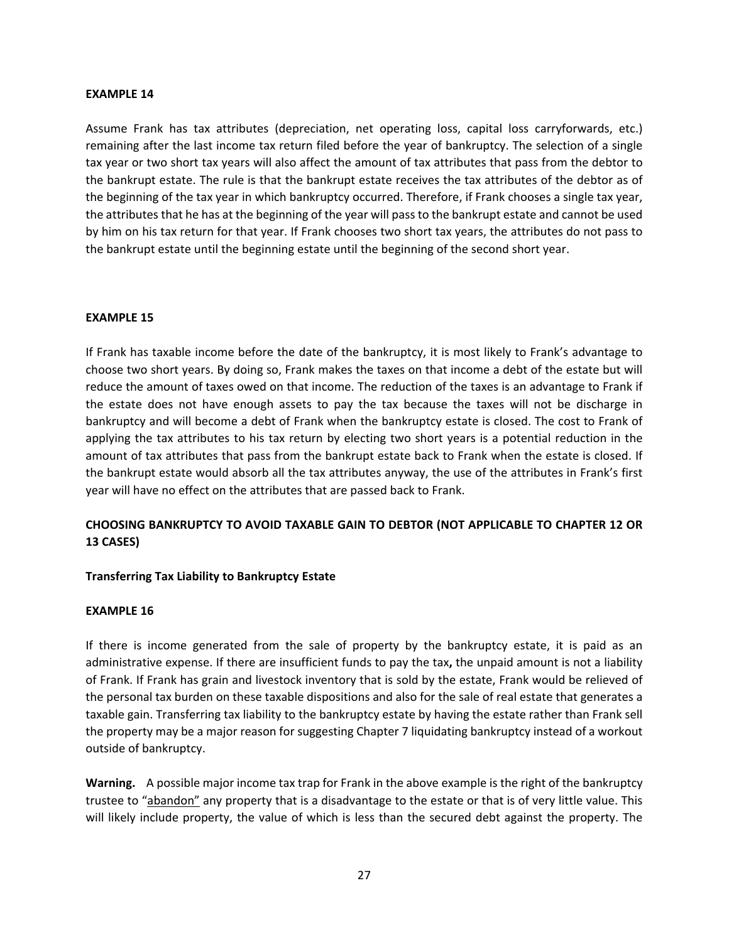#### **EXAMPLE 14**

Assume Frank has tax attributes (depreciation, net operating loss, capital loss carryforwards, etc.) remaining after the last income tax return filed before the year of bankruptcy. The selection of a single tax year or two short tax years will also affect the amount of tax attributes that pass from the debtor to the bankrupt estate. The rule is that the bankrupt estate receives the tax attributes of the debtor as of the beginning of the tax year in which bankruptcy occurred. Therefore, if Frank chooses a single tax year, the attributes that he has at the beginning of the year will pass to the bankrupt estate and cannot be used by him on his tax return for that year. If Frank chooses two short tax years, the attributes do not pass to the bankrupt estate until the beginning estate until the beginning of the second short year.

## **EXAMPLE 15**

If Frank has taxable income before the date of the bankruptcy, it is most likely to Frank's advantage to choose two short years. By doing so, Frank makes the taxes on that income a debt of the estate but will reduce the amount of taxes owed on that income. The reduction of the taxes is an advantage to Frank if the estate does not have enough assets to pay the tax because the taxes will not be discharge in bankruptcy and will become a debt of Frank when the bankruptcy estate is closed. The cost to Frank of applying the tax attributes to his tax return by electing two short years is a potential reduction in the amount of tax attributes that pass from the bankrupt estate back to Frank when the estate is closed. If the bankrupt estate would absorb all the tax attributes anyway, the use of the attributes in Frank's first year will have no effect on the attributes that are passed back to Frank.

# **CHOOSING BANKRUPTCY TO AVOID TAXABLE GAIN TO DEBTOR (NOT APPLICABLE TO CHAPTER 12 OR 13 CASES)**

## **Transferring Tax Liability to Bankruptcy Estate**

#### **EXAMPLE 16**

If there is income generated from the sale of property by the bankruptcy estate, it is paid as an administrative expense. If there are insufficient funds to pay the tax**,** the unpaid amount is not a liability of Frank. If Frank has grain and livestock inventory that is sold by the estate, Frank would be relieved of the personal tax burden on these taxable dispositions and also for the sale of real estate that generates a taxable gain. Transferring tax liability to the bankruptcy estate by having the estate rather than Frank sell the property may be a major reason for suggesting Chapter 7 liquidating bankruptcy instead of a workout outside of bankruptcy.

**Warning.** A possible major income tax trap for Frank in the above example is the right of the bankruptcy trustee to "abandon" any property that is a disadvantage to the estate or that is of very little value. This will likely include property, the value of which is less than the secured debt against the property. The